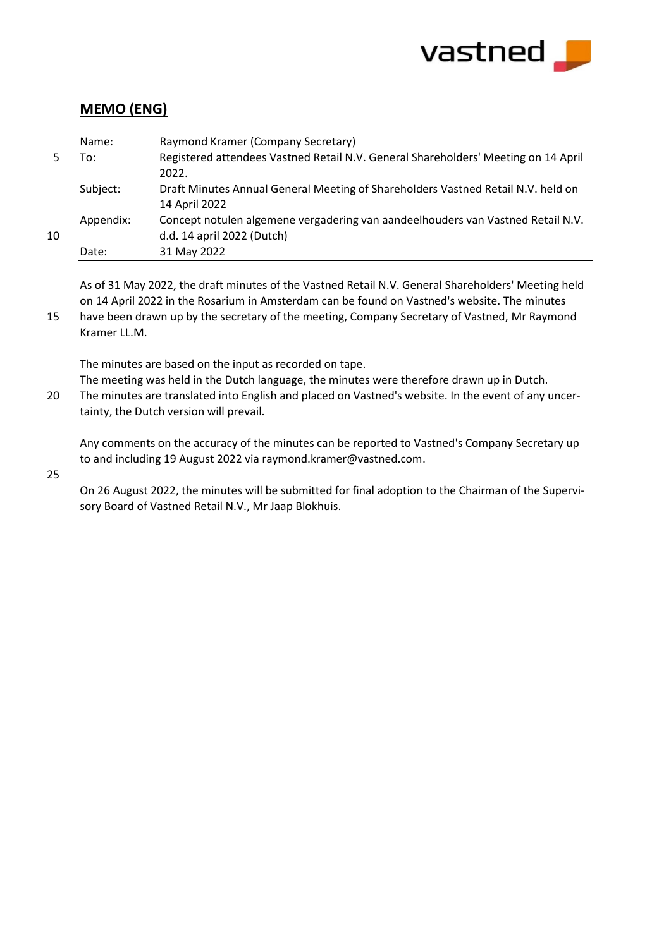

# **MEMO (ENG)**

|    | Name:     | Raymond Kramer (Company Secretary)                                                 |
|----|-----------|------------------------------------------------------------------------------------|
|    | To:       | Registered attendees Vastned Retail N.V. General Shareholders' Meeting on 14 April |
|    |           | 2022.                                                                              |
|    | Subject:  | Draft Minutes Annual General Meeting of Shareholders Vastned Retail N.V. held on   |
|    |           | 14 April 2022                                                                      |
|    | Appendix: | Concept notulen algemene vergadering van aandeelhouders van Vastned Retail N.V.    |
| 10 |           | d.d. 14 april 2022 (Dutch)                                                         |
|    | Date:     | 31 May 2022                                                                        |

As of 31 May 2022, the draft minutes of the Vastned Retail N.V. General Shareholders' Meeting held on 14 April 2022 in the Rosarium in Amsterdam can be found on Vastned's website. The minutes

15 have been drawn up by the secretary of the meeting, Company Secretary of Vastned, Mr Raymond Kramer LL.M.

The minutes are based on the input as recorded on tape.

The meeting was held in the Dutch language, the minutes were therefore drawn up in Dutch.

20 The minutes are translated into English and placed on Vastned's website. In the event of any uncertainty, the Dutch version will prevail.

Any comments on the accuracy of the minutes can be reported to Vastned's Company Secretary up to and including 19 August 2022 via raymond.kramer@vastned.com.

25

On 26 August 2022, the minutes will be submitted for final adoption to the Chairman of the Supervisory Board of Vastned Retail N.V., Mr Jaap Blokhuis.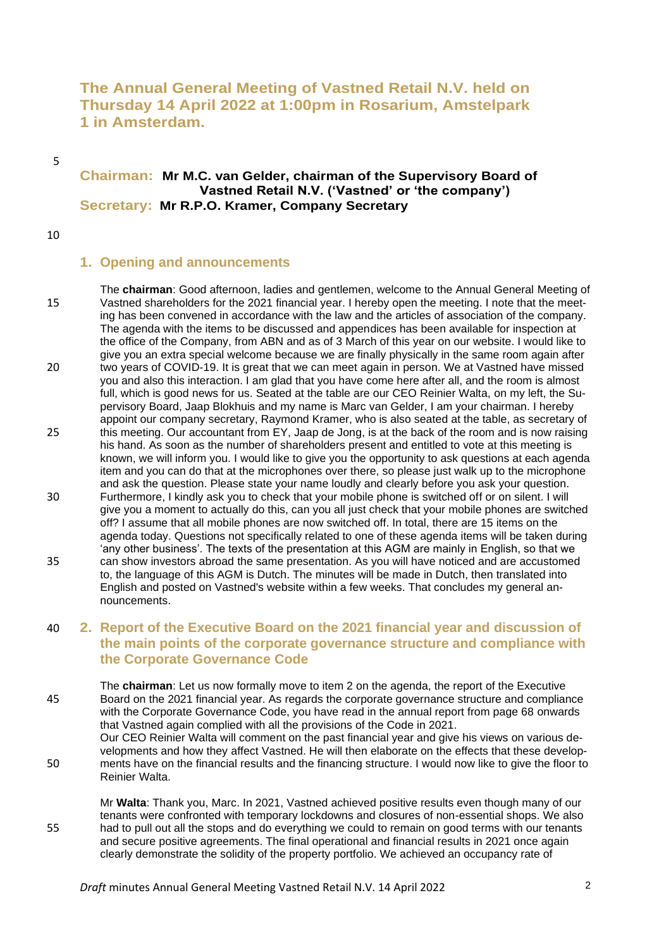# **The Annual General Meeting of Vastned Retail N.V. held on Thursday 14 April 2022 at 1:00pm in Rosarium, Amstelpark 1 in Amsterdam.**

5

#### **Chairman: Mr M.C. van Gelder, chairman of the Supervisory Board of Vastned Retail N.V. ('Vastned' or 'the company') Secretary: Mr R.P.O. Kramer, Company Secretary**

10

### **1. Opening and announcements**

nouncements.

The **chairman**: Good afternoon, ladies and gentlemen, welcome to the Annual General Meeting of 15 Vastned shareholders for the 2021 financial year. I hereby open the meeting. I note that the meeting has been convened in accordance with the law and the articles of association of the company. The agenda with the items to be discussed and appendices has been available for inspection at the office of the Company, from ABN and as of 3 March of this year on our website. I would like to give you an extra special welcome because we are finally physically in the same room again after 20 two years of COVID-19. It is great that we can meet again in person. We at Vastned have missed you and also this interaction. I am glad that you have come here after all, and the room is almost full, which is good news for us. Seated at the table are our CEO Reinier Walta, on my left, the Supervisory Board, Jaap Blokhuis and my name is Marc van Gelder, I am your chairman. I hereby appoint our company secretary, Raymond Kramer, who is also seated at the table, as secretary of 25 this meeting. Our accountant from EY, Jaap de Jong, is at the back of the room and is now raising his hand. As soon as the number of shareholders present and entitled to vote at this meeting is known, we will inform you. I would like to give you the opportunity to ask questions at each agenda item and you can do that at the microphones over there, so please just walk up to the microphone and ask the question. Please state your name loudly and clearly before you ask your question. 30 Furthermore, I kindly ask you to check that your mobile phone is switched off or on silent. I will give you a moment to actually do this, can you all just check that your mobile phones are switched off? I assume that all mobile phones are now switched off. In total, there are 15 items on the agenda today. Questions not specifically related to one of these agenda items will be taken during 'any other business'. The texts of the presentation at this AGM are mainly in English, so that we 35 can show investors abroad the same presentation. As you will have noticed and are accustomed to, the language of this AGM is Dutch. The minutes will be made in Dutch, then translated into

# 40 **2. Report of the Executive Board on the 2021 financial year and discussion of the main points of the corporate governance structure and compliance with the Corporate Governance Code**

English and posted on Vastned's website within a few weeks. That concludes my general an-

The **chairman**: Let us now formally move to item 2 on the agenda, the report of the Executive 45 Board on the 2021 financial year. As regards the corporate governance structure and compliance with the Corporate Governance Code, you have read in the annual report from page 68 onwards that Vastned again complied with all the provisions of the Code in 2021.

Our CEO Reinier Walta will comment on the past financial year and give his views on various developments and how they affect Vastned. He will then elaborate on the effects that these develop-50 ments have on the financial results and the financing structure. I would now like to give the floor to Reinier Walta.

Mr **Walta**: Thank you, Marc. In 2021, Vastned achieved positive results even though many of our tenants were confronted with temporary lockdowns and closures of non-essential shops. We also 55 had to pull out all the stops and do everything we could to remain on good terms with our tenants and secure positive agreements. The final operational and financial results in 2021 once again clearly demonstrate the solidity of the property portfolio. We achieved an occupancy rate of

*Draft* minutes Annual General Meeting Vastned Retail N.V. 14 April 2022 2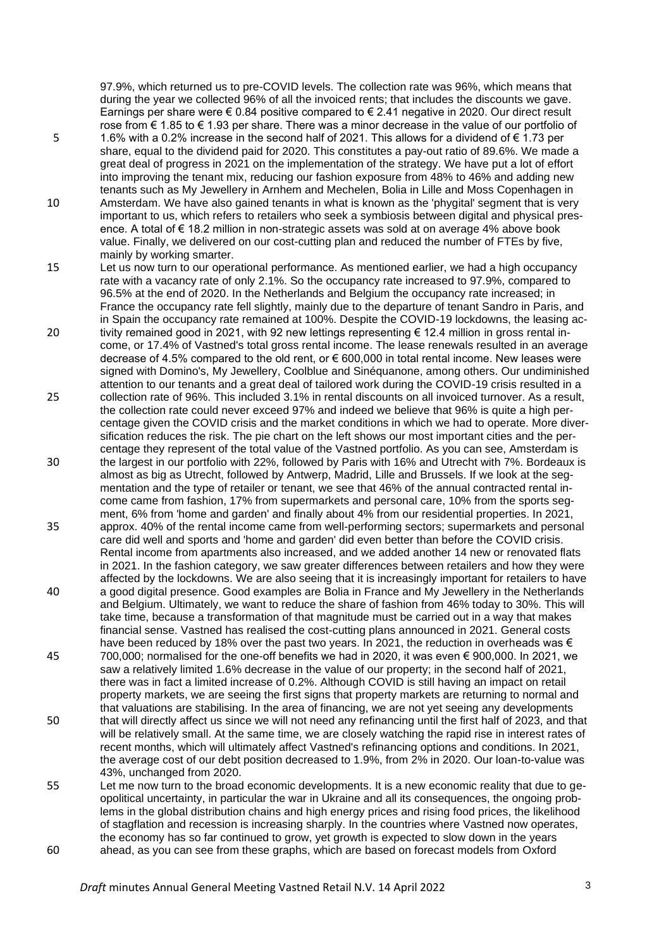97.9%, which returned us to pre-COVID levels. The collection rate was 96%, which means that during the year we collected 96% of all the invoiced rents; that includes the discounts we gave. Earnings per share were € 0.84 positive compared to € 2.41 negative in 2020. Our direct result rose from € 1.85 to € 1.93 per share. There was a minor decrease in the value of our portfolio of

- 5 1.6% with a 0.2% increase in the second half of 2021. This allows for a dividend of € 1.73 per share, equal to the dividend paid for 2020. This constitutes a pay-out ratio of 89.6%. We made a great deal of progress in 2021 on the implementation of the strategy. We have put a lot of effort into improving the tenant mix, reducing our fashion exposure from 48% to 46% and adding new tenants such as My Jewellery in Arnhem and Mechelen, Bolia in Lille and Moss Copenhagen in
- 10 Amsterdam. We have also gained tenants in what is known as the 'phygital' segment that is very important to us, which refers to retailers who seek a symbiosis between digital and physical presence. A total of € 18.2 million in non-strategic assets was sold at on average 4% above book value. Finally, we delivered on our cost-cutting plan and reduced the number of FTEs by five, mainly by working smarter.
- 15 Let us now turn to our operational performance. As mentioned earlier, we had a high occupancy rate with a vacancy rate of only 2.1%. So the occupancy rate increased to 97.9%, compared to 96.5% at the end of 2020. In the Netherlands and Belgium the occupancy rate increased; in France the occupancy rate fell slightly, mainly due to the departure of tenant Sandro in Paris, and in Spain the occupancy rate remained at 100%. Despite the COVID-19 lockdowns, the leasing ac-
- 20 tivity remained good in 2021, with 92 new lettings representing  $\epsilon$  12.4 million in gross rental income, or 17.4% of Vastned's total gross rental income. The lease renewals resulted in an average decrease of 4.5% compared to the old rent, or € 600,000 in total rental income. New leases were signed with Domino's, My Jewellery, Coolblue and Sinéquanone, among others. Our undiminished attention to our tenants and a great deal of tailored work during the COVID-19 crisis resulted in a
- 25 collection rate of 96%. This included 3.1% in rental discounts on all invoiced turnover. As a result, the collection rate could never exceed 97% and indeed we believe that 96% is quite a high percentage given the COVID crisis and the market conditions in which we had to operate. More diversification reduces the risk. The pie chart on the left shows our most important cities and the percentage they represent of the total value of the Vastned portfolio. As you can see, Amsterdam is
- 30 the largest in our portfolio with 22%, followed by Paris with 16% and Utrecht with 7%. Bordeaux is almost as big as Utrecht, followed by Antwerp, Madrid, Lille and Brussels. If we look at the segmentation and the type of retailer or tenant, we see that 46% of the annual contracted rental income came from fashion, 17% from supermarkets and personal care, 10% from the sports segment, 6% from 'home and garden' and finally about 4% from our residential properties. In 2021,
- 35 approx. 40% of the rental income came from well-performing sectors; supermarkets and personal care did well and sports and 'home and garden' did even better than before the COVID crisis. Rental income from apartments also increased, and we added another 14 new or renovated flats in 2021. In the fashion category, we saw greater differences between retailers and how they were affected by the lockdowns. We are also seeing that it is increasingly important for retailers to have 40 a good digital presence. Good examples are Bolia in France and My Jewellery in the Netherlands
- and Belgium. Ultimately, we want to reduce the share of fashion from 46% today to 30%. This will take time, because a transformation of that magnitude must be carried out in a way that makes financial sense. Vastned has realised the cost-cutting plans announced in 2021. General costs have been reduced by 18% over the past two years. In 2021, the reduction in overheads was  $\epsilon$
- 45 700,000; normalised for the one-off benefits we had in 2020, it was even € 900,000. In 2021, we saw a relatively limited 1.6% decrease in the value of our property; in the second half of 2021, there was in fact a limited increase of 0.2%. Although COVID is still having an impact on retail property markets, we are seeing the first signs that property markets are returning to normal and that valuations are stabilising. In the area of financing, we are not yet seeing any developments
- 50 that will directly affect us since we will not need any refinancing until the first half of 2023, and that will be relatively small. At the same time, we are closely watching the rapid rise in interest rates of recent months, which will ultimately affect Vastned's refinancing options and conditions. In 2021, the average cost of our debt position decreased to 1.9%, from 2% in 2020. Our loan-to-value was 43%, unchanged from 2020.
- 55 Let me now turn to the broad economic developments. It is a new economic reality that due to geopolitical uncertainty, in particular the war in Ukraine and all its consequences, the ongoing problems in the global distribution chains and high energy prices and rising food prices, the likelihood of stagflation and recession is increasing sharply. In the countries where Vastned now operates, the economy has so far continued to grow, yet growth is expected to slow down in the years 60 ahead, as you can see from these graphs, which are based on forecast models from Oxford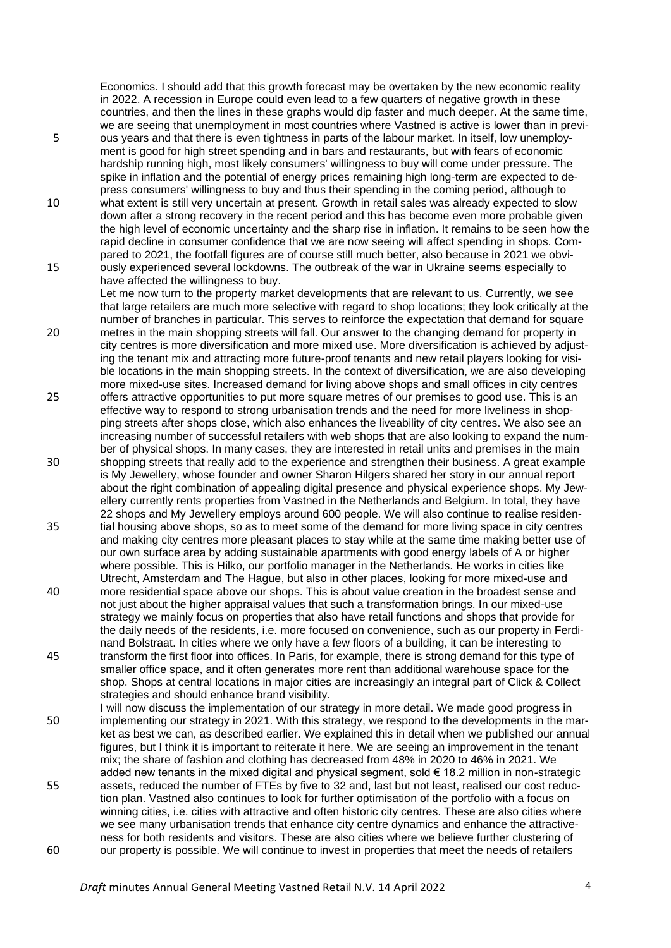Economics. I should add that this growth forecast may be overtaken by the new economic reality in 2022. A recession in Europe could even lead to a few quarters of negative growth in these countries, and then the lines in these graphs would dip faster and much deeper. At the same time, we are seeing that unemployment in most countries where Vastned is active is lower than in previ-

- 5 ous years and that there is even tightness in parts of the labour market. In itself, low unemployment is good for high street spending and in bars and restaurants, but with fears of economic hardship running high, most likely consumers' willingness to buy will come under pressure. The spike in inflation and the potential of energy prices remaining high long-term are expected to depress consumers' willingness to buy and thus their spending in the coming period, although to
- 10 what extent is still very uncertain at present. Growth in retail sales was already expected to slow down after a strong recovery in the recent period and this has become even more probable given the high level of economic uncertainty and the sharp rise in inflation. It remains to be seen how the rapid decline in consumer confidence that we are now seeing will affect spending in shops. Compared to 2021, the footfall figures are of course still much better, also because in 2021 we obvi-15 ously experienced several lockdowns. The outbreak of the war in Ukraine seems especially to

have affected the willingness to buy. Let me now turn to the property market developments that are relevant to us. Currently, we see

- that large retailers are much more selective with regard to shop locations; they look critically at the number of branches in particular. This serves to reinforce the expectation that demand for square 20 metres in the main shopping streets will fall. Our answer to the changing demand for property in city centres is more diversification and more mixed use. More diversification is achieved by adjusting the tenant mix and attracting more future-proof tenants and new retail players looking for visible locations in the main shopping streets. In the context of diversification, we are also developing more mixed-use sites. Increased demand for living above shops and small offices in city centres
- 25 offers attractive opportunities to put more square metres of our premises to good use. This is an effective way to respond to strong urbanisation trends and the need for more liveliness in shopping streets after shops close, which also enhances the liveability of city centres. We also see an increasing number of successful retailers with web shops that are also looking to expand the number of physical shops. In many cases, they are interested in retail units and premises in the main
- 30 shopping streets that really add to the experience and strengthen their business. A great example is My Jewellery, whose founder and owner Sharon Hilgers shared her story in our annual report about the right combination of appealing digital presence and physical experience shops. My Jewellery currently rents properties from Vastned in the Netherlands and Belgium. In total, they have 22 shops and My Jewellery employs around 600 people. We will also continue to realise residen-
- 35 tial housing above shops, so as to meet some of the demand for more living space in city centres and making city centres more pleasant places to stay while at the same time making better use of our own surface area by adding sustainable apartments with good energy labels of A or higher where possible. This is Hilko, our portfolio manager in the Netherlands. He works in cities like Utrecht, Amsterdam and The Hague, but also in other places, looking for more mixed-use and
- 40 more residential space above our shops. This is about value creation in the broadest sense and not just about the higher appraisal values that such a transformation brings. In our mixed-use strategy we mainly focus on properties that also have retail functions and shops that provide for the daily needs of the residents, i.e. more focused on convenience, such as our property in Ferdinand Bolstraat. In cities where we only have a few floors of a building, it can be interesting to 45 transform the first floor into offices. In Paris, for example, there is strong demand for this type of
- smaller office space, and it often generates more rent than additional warehouse space for the shop. Shops at central locations in major cities are increasingly an integral part of Click & Collect strategies and should enhance brand visibility.
- I will now discuss the implementation of our strategy in more detail. We made good progress in 50 implementing our strategy in 2021. With this strategy, we respond to the developments in the market as best we can, as described earlier. We explained this in detail when we published our annual figures, but I think it is important to reiterate it here. We are seeing an improvement in the tenant mix; the share of fashion and clothing has decreased from 48% in 2020 to 46% in 2021. We added new tenants in the mixed digital and physical segment, sold  $\epsilon$  18.2 million in non-strategic
- 55 assets, reduced the number of FTEs by five to 32 and, last but not least, realised our cost reduction plan. Vastned also continues to look for further optimisation of the portfolio with a focus on winning cities, i.e. cities with attractive and often historic city centres. These are also cities where we see many urbanisation trends that enhance city centre dynamics and enhance the attractiveness for both residents and visitors. These are also cities where we believe further clustering of 60 our property is possible. We will continue to invest in properties that meet the needs of retailers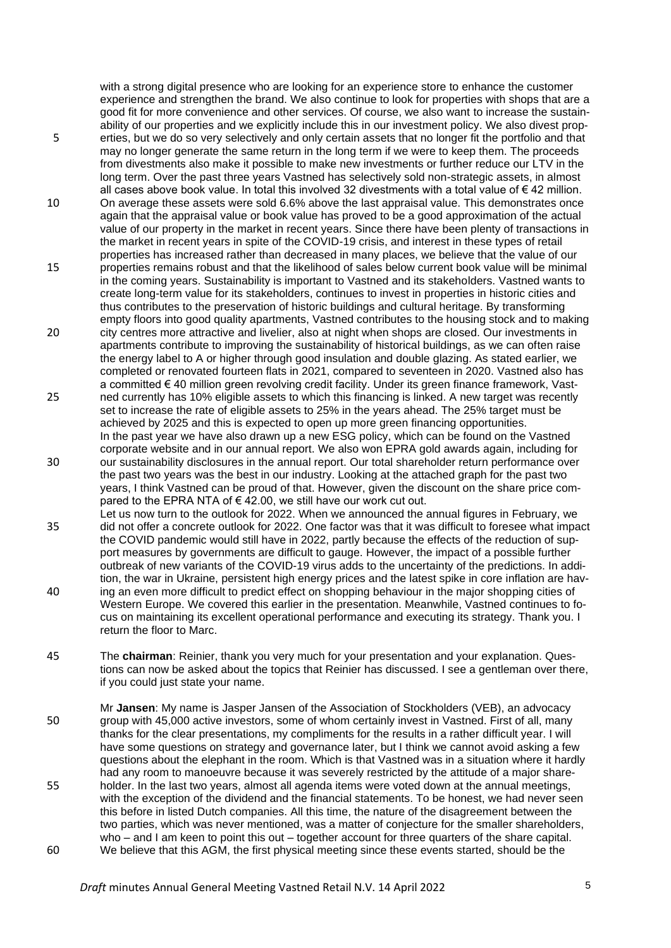with a strong digital presence who are looking for an experience store to enhance the customer experience and strengthen the brand. We also continue to look for properties with shops that are a good fit for more convenience and other services. Of course, we also want to increase the sustainability of our properties and we explicitly include this in our investment policy. We also divest prop-5 erties, but we do so very selectively and only certain assets that no longer fit the portfolio and that may no longer generate the same return in the long term if we were to keep them. The proceeds from divestments also make it possible to make new investments or further reduce our LTV in the long term. Over the past three years Vastned has selectively sold non-strategic assets, in almost

- all cases above book value. In total this involved 32 divestments with a total value of  $\epsilon$  42 million. 10 On average these assets were sold 6.6% above the last appraisal value. This demonstrates once again that the appraisal value or book value has proved to be a good approximation of the actual value of our property in the market in recent years. Since there have been plenty of transactions in the market in recent years in spite of the COVID-19 crisis, and interest in these types of retail properties has increased rather than decreased in many places, we believe that the value of our
- 15 properties remains robust and that the likelihood of sales below current book value will be minimal in the coming years. Sustainability is important to Vastned and its stakeholders. Vastned wants to create long-term value for its stakeholders, continues to invest in properties in historic cities and thus contributes to the preservation of historic buildings and cultural heritage. By transforming empty floors into good quality apartments, Vastned contributes to the housing stock and to making
- 20 city centres more attractive and livelier, also at night when shops are closed. Our investments in apartments contribute to improving the sustainability of historical buildings, as we can often raise the energy label to A or higher through good insulation and double glazing. As stated earlier, we completed or renovated fourteen flats in 2021, compared to seventeen in 2020. Vastned also has a committed € 40 million green revolving credit facility. Under its green finance framework, Vast-
- 25 ned currently has 10% eligible assets to which this financing is linked. A new target was recently set to increase the rate of eligible assets to 25% in the years ahead. The 25% target must be achieved by 2025 and this is expected to open up more green financing opportunities. In the past year we have also drawn up a new ESG policy, which can be found on the Vastned corporate website and in our annual report. We also won EPRA gold awards again, including for
- 30 our sustainability disclosures in the annual report. Our total shareholder return performance over the past two years was the best in our industry. Looking at the attached graph for the past two years, I think Vastned can be proud of that. However, given the discount on the share price compared to the EPRA NTA of €42.00, we still have our work cut out.
- Let us now turn to the outlook for 2022. When we announced the annual figures in February, we 35 did not offer a concrete outlook for 2022. One factor was that it was difficult to foresee what impact the COVID pandemic would still have in 2022, partly because the effects of the reduction of support measures by governments are difficult to gauge. However, the impact of a possible further outbreak of new variants of the COVID-19 virus adds to the uncertainty of the predictions. In addition, the war in Ukraine, persistent high energy prices and the latest spike in core inflation are hav-40 ing an even more difficult to predict effect on shopping behaviour in the major shopping cities of Western Europe. We covered this earlier in the presentation. Meanwhile, Vastned continues to focus on maintaining its excellent operational performance and executing its strategy. Thank you. I return the floor to Marc.
- 45 The **chairman**: Reinier, thank you very much for your presentation and your explanation. Questions can now be asked about the topics that Reinier has discussed. I see a gentleman over there, if you could just state your name.

Mr **Jansen**: My name is Jasper Jansen of the Association of Stockholders (VEB), an advocacy 50 group with 45,000 active investors, some of whom certainly invest in Vastned. First of all, many thanks for the clear presentations, my compliments for the results in a rather difficult year. I will have some questions on strategy and governance later, but I think we cannot avoid asking a few questions about the elephant in the room. Which is that Vastned was in a situation where it hardly had any room to manoeuvre because it was severely restricted by the attitude of a major share-55 holder. In the last two years, almost all agenda items were voted down at the annual meetings, with the exception of the dividend and the financial statements. To be honest, we had never seen this before in listed Dutch companies. All this time, the nature of the disagreement between the two parties, which was never mentioned, was a matter of conjecture for the smaller shareholders, who – and I am keen to point this out – together account for three quarters of the share capital. 60 We believe that this AGM, the first physical meeting since these events started, should be the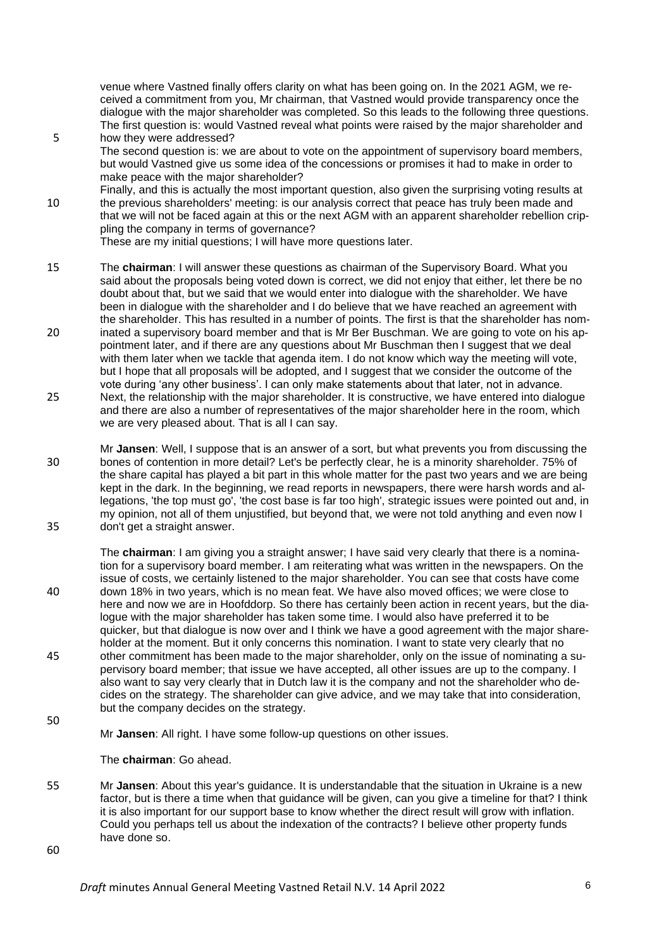venue where Vastned finally offers clarity on what has been going on. In the 2021 AGM, we received a commitment from you, Mr chairman, that Vastned would provide transparency once the dialogue with the major shareholder was completed. So this leads to the following three questions. The first question is: would Vastned reveal what points were raised by the major shareholder and 5 how they were addressed?

- The second question is: we are about to vote on the appointment of supervisory board members, but would Vastned give us some idea of the concessions or promises it had to make in order to make peace with the major shareholder?
- Finally, and this is actually the most important question, also given the surprising voting results at 10 the previous shareholders' meeting: is our analysis correct that peace has truly been made and that we will not be faced again at this or the next AGM with an apparent shareholder rebellion crippling the company in terms of governance?

These are my initial questions; I will have more questions later.

- 15 The **chairman**: I will answer these questions as chairman of the Supervisory Board. What you said about the proposals being voted down is correct, we did not enjoy that either, let there be no doubt about that, but we said that we would enter into dialogue with the shareholder. We have been in dialogue with the shareholder and I do believe that we have reached an agreement with the shareholder. This has resulted in a number of points. The first is that the shareholder has nom-20 inated a supervisory board member and that is Mr Ber Buschman. We are going to vote on his appointment later, and if there are any questions about Mr Buschman then I suggest that we deal with them later when we tackle that agenda item. I do not know which way the meeting will vote, but I hope that all proposals will be adopted, and I suggest that we consider the outcome of the
- vote during 'any other business'. I can only make statements about that later, not in advance. 25 Next, the relationship with the major shareholder. It is constructive, we have entered into dialogue and there are also a number of representatives of the major shareholder here in the room, which we are very pleased about. That is all I can say.
- Mr **Jansen**: Well, I suppose that is an answer of a sort, but what prevents you from discussing the 30 bones of contention in more detail? Let's be perfectly clear, he is a minority shareholder. 75% of the share capital has played a bit part in this whole matter for the past two years and we are being kept in the dark. In the beginning, we read reports in newspapers, there were harsh words and allegations, 'the top must go', 'the cost base is far too high', strategic issues were pointed out and, in my opinion, not all of them unjustified, but beyond that, we were not told anything and even now I 35 don't get a straight answer.

The **chairman**: I am giving you a straight answer; I have said very clearly that there is a nomination for a supervisory board member. I am reiterating what was written in the newspapers. On the issue of costs, we certainly listened to the major shareholder. You can see that costs have come 40 down 18% in two years, which is no mean feat. We have also moved offices; we were close to here and now we are in Hoofddorp. So there has certainly been action in recent years, but the dialogue with the major shareholder has taken some time. I would also have preferred it to be quicker, but that dialogue is now over and I think we have a good agreement with the major shareholder at the moment. But it only concerns this nomination. I want to state very clearly that no 45 other commitment has been made to the major shareholder, only on the issue of nominating a supervisory board member; that issue we have accepted, all other issues are up to the company. I also want to say very clearly that in Dutch law it is the company and not the shareholder who decides on the strategy. The shareholder can give advice, and we may take that into consideration, but the company decides on the strategy.

50

Mr **Jansen**: All right. I have some follow-up questions on other issues.

The **chairman**: Go ahead.

55 Mr **Jansen**: About this year's guidance. It is understandable that the situation in Ukraine is a new factor, but is there a time when that guidance will be given, can you give a timeline for that? I think it is also important for our support base to know whether the direct result will grow with inflation. Could you perhaps tell us about the indexation of the contracts? I believe other property funds have done so.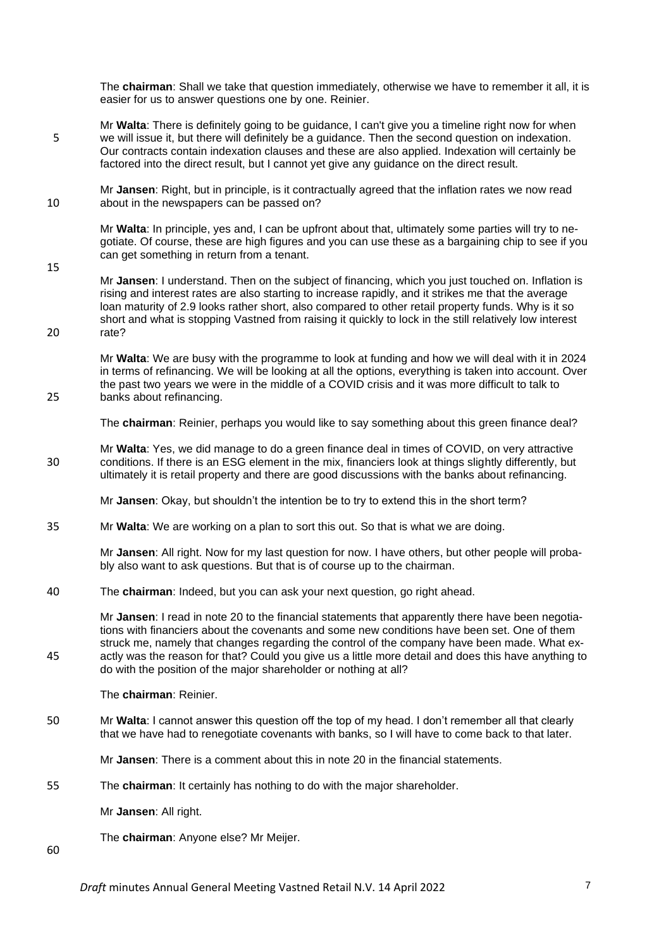The **chairman**: Shall we take that question immediately, otherwise we have to remember it all, it is easier for us to answer questions one by one. Reinier.

- Mr **Walta**: There is definitely going to be guidance, I can't give you a timeline right now for when 5 we will issue it, but there will definitely be a guidance. Then the second question on indexation. Our contracts contain indexation clauses and these are also applied. Indexation will certainly be factored into the direct result, but I cannot yet give any guidance on the direct result.
- Mr **Jansen**: Right, but in principle, is it contractually agreed that the inflation rates we now read 10 about in the newspapers can be passed on?

Mr **Walta**: In principle, yes and, I can be upfront about that, ultimately some parties will try to negotiate. Of course, these are high figures and you can use these as a bargaining chip to see if you can get something in return from a tenant.

Mr **Jansen**: I understand. Then on the subject of financing, which you just touched on. Inflation is rising and interest rates are also starting to increase rapidly, and it strikes me that the average loan maturity of 2.9 looks rather short, also compared to other retail property funds. Why is it so short and what is stopping Vastned from raising it quickly to lock in the still relatively low interest 20 rate?

Mr **Walta**: We are busy with the programme to look at funding and how we will deal with it in 2024 in terms of refinancing. We will be looking at all the options, everything is taken into account. Over the past two years we were in the middle of a COVID crisis and it was more difficult to talk to 25 banks about refinancing.

The **chairman**: Reinier, perhaps you would like to say something about this green finance deal?

Mr **Walta**: Yes, we did manage to do a green finance deal in times of COVID, on very attractive 30 conditions. If there is an ESG element in the mix, financiers look at things slightly differently, but ultimately it is retail property and there are good discussions with the banks about refinancing.

Mr **Jansen**: Okay, but shouldn't the intention be to try to extend this in the short term?

35 Mr **Walta**: We are working on a plan to sort this out. So that is what we are doing.

Mr **Jansen**: All right. Now for my last question for now. I have others, but other people will probably also want to ask questions. But that is of course up to the chairman.

40 The **chairman**: Indeed, but you can ask your next question, go right ahead.

Mr **Jansen**: I read in note 20 to the financial statements that apparently there have been negotiations with financiers about the covenants and some new conditions have been set. One of them struck me, namely that changes regarding the control of the company have been made. What ex-45 actly was the reason for that? Could you give us a little more detail and does this have anything to do with the position of the major shareholder or nothing at all?

The **chairman**: Reinier.

50 Mr **Walta**: I cannot answer this question off the top of my head. I don't remember all that clearly that we have had to renegotiate covenants with banks, so I will have to come back to that later.

Mr **Jansen**: There is a comment about this in note 20 in the financial statements.

55 The **chairman**: It certainly has nothing to do with the major shareholder.

Mr **Jansen**: All right.

The **chairman**: Anyone else? Mr Meijer.

60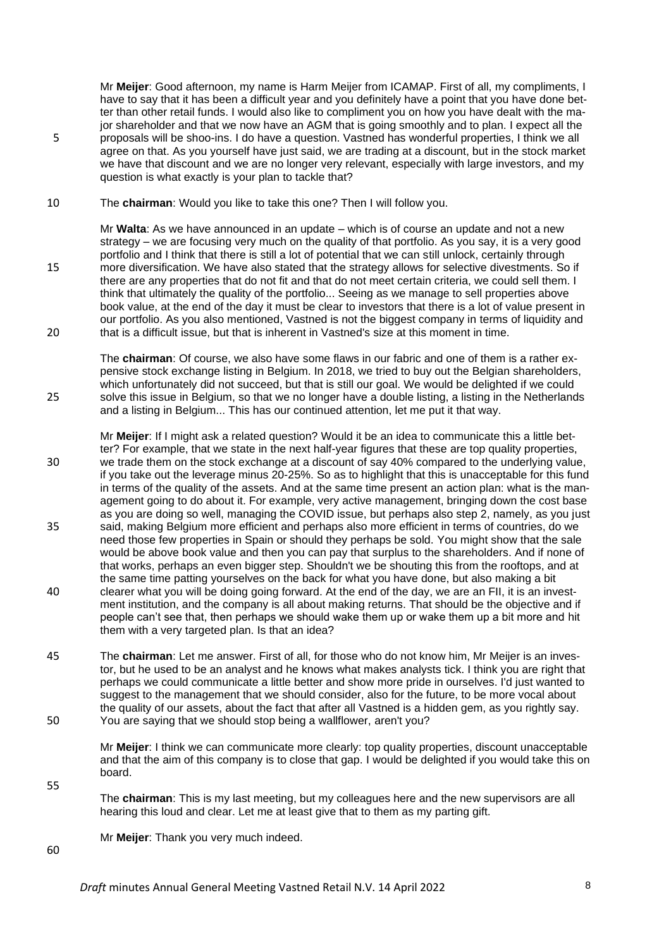Mr **Meijer**: Good afternoon, my name is Harm Meijer from ICAMAP. First of all, my compliments, I have to say that it has been a difficult year and you definitely have a point that you have done better than other retail funds. I would also like to compliment you on how you have dealt with the major shareholder and that we now have an AGM that is going smoothly and to plan. I expect all the 5 proposals will be shoo-ins. I do have a question. Vastned has wonderful properties, I think we all agree on that. As you yourself have just said, we are trading at a discount, but in the stock market we have that discount and we are no longer very relevant, especially with large investors, and my question is what exactly is your plan to tackle that?

10 The **chairman**: Would you like to take this one? Then I will follow you.

Mr **Walta**: As we have announced in an update – which is of course an update and not a new strategy – we are focusing very much on the quality of that portfolio. As you say, it is a very good portfolio and I think that there is still a lot of potential that we can still unlock, certainly through 15 more diversification. We have also stated that the strategy allows for selective divestments. So if there are any properties that do not fit and that do not meet certain criteria, we could sell them. I think that ultimately the quality of the portfolio... Seeing as we manage to sell properties above book value, at the end of the day it must be clear to investors that there is a lot of value present in our portfolio. As you also mentioned, Vastned is not the biggest company in terms of liquidity and 20 that is a difficult issue, but that is inherent in Vastned's size at this moment in time.

The **chairman**: Of course, we also have some flaws in our fabric and one of them is a rather expensive stock exchange listing in Belgium. In 2018, we tried to buy out the Belgian shareholders, which unfortunately did not succeed, but that is still our goal. We would be delighted if we could 25 solve this issue in Belgium, so that we no longer have a double listing, a listing in the Netherlands and a listing in Belgium... This has our continued attention, let me put it that way.

Mr **Meijer**: If I might ask a related question? Would it be an idea to communicate this a little better? For example, that we state in the next half-year figures that these are top quality properties, 30 we trade them on the stock exchange at a discount of say 40% compared to the underlying value, if you take out the leverage minus 20-25%. So as to highlight that this is unacceptable for this fund in terms of the quality of the assets. And at the same time present an action plan: what is the management going to do about it. For example, very active management, bringing down the cost base as you are doing so well, managing the COVID issue, but perhaps also step 2, namely, as you just 35 said, making Belgium more efficient and perhaps also more efficient in terms of countries, do we need those few properties in Spain or should they perhaps be sold. You might show that the sale would be above book value and then you can pay that surplus to the shareholders. And if none of that works, perhaps an even bigger step. Shouldn't we be shouting this from the rooftops, and at the same time patting yourselves on the back for what you have done, but also making a bit 40 clearer what you will be doing going forward. At the end of the day, we are an FII, it is an investment institution, and the company is all about making returns. That should be the objective and if people can't see that, then perhaps we should wake them up or wake them up a bit more and hit them with a very targeted plan. Is that an idea?

45 The **chairman**: Let me answer. First of all, for those who do not know him, Mr Meijer is an investor, but he used to be an analyst and he knows what makes analysts tick. I think you are right that perhaps we could communicate a little better and show more pride in ourselves. I'd just wanted to suggest to the management that we should consider, also for the future, to be more vocal about the quality of our assets, about the fact that after all Vastned is a hidden gem, as you rightly say. 50 You are saying that we should stop being a wallflower, aren't you?

Mr **Meijer**: I think we can communicate more clearly: top quality properties, discount unacceptable and that the aim of this company is to close that gap. I would be delighted if you would take this on board.

The **chairman**: This is my last meeting, but my colleagues here and the new supervisors are all hearing this loud and clear. Let me at least give that to them as my parting gift.

Mr **Meijer**: Thank you very much indeed.

60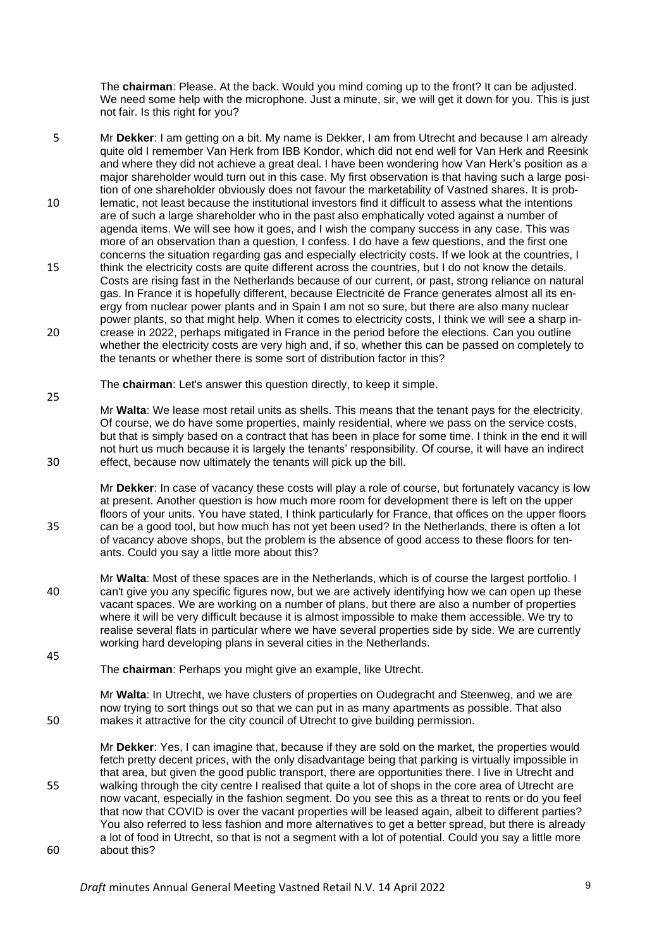The **chairman**: Please. At the back. Would you mind coming up to the front? It can be adjusted. We need some help with the microphone. Just a minute, sir, we will get it down for you. This is just not fair. Is this right for you?

5 Mr **Dekker**: I am getting on a bit. My name is Dekker, I am from Utrecht and because I am already quite old I remember Van Herk from IBB Kondor, which did not end well for Van Herk and Reesink and where they did not achieve a great deal. I have been wondering how Van Herk's position as a major shareholder would turn out in this case. My first observation is that having such a large position of one shareholder obviously does not favour the marketability of Vastned shares. It is prob-10 lematic, not least because the institutional investors find it difficult to assess what the intentions are of such a large shareholder who in the past also emphatically voted against a number of agenda items. We will see how it goes, and I wish the company success in any case. This was more of an observation than a question, I confess. I do have a few questions, and the first one concerns the situation regarding gas and especially electricity costs. If we look at the countries, I 15 think the electricity costs are quite different across the countries, but I do not know the details. Costs are rising fast in the Netherlands because of our current, or past, strong reliance on natural gas. In France it is hopefully different, because Electricité de France generates almost all its energy from nuclear power plants and in Spain I am not so sure, but there are also many nuclear power plants, so that might help. When it comes to electricity costs, I think we will see a sharp in-20 crease in 2022, perhaps mitigated in France in the period before the elections. Can you outline whether the electricity costs are very high and, if so, whether this can be passed on completely to the tenants or whether there is some sort of distribution factor in this?

The **chairman**: Let's answer this question directly, to keep it simple.

25

45

Mr **Walta**: We lease most retail units as shells. This means that the tenant pays for the electricity. Of course, we do have some properties, mainly residential, where we pass on the service costs, but that is simply based on a contract that has been in place for some time. I think in the end it will not hurt us much because it is largely the tenants' responsibility. Of course, it will have an indirect 30 effect, because now ultimately the tenants will pick up the bill.

Mr **Dekker**: In case of vacancy these costs will play a role of course, but fortunately vacancy is low at present. Another question is how much more room for development there is left on the upper floors of your units. You have stated, I think particularly for France, that offices on the upper floors 35 can be a good tool, but how much has not yet been used? In the Netherlands, there is often a lot of vacancy above shops, but the problem is the absence of good access to these floors for tenants. Could you say a little more about this?

Mr **Walta**: Most of these spaces are in the Netherlands, which is of course the largest portfolio. I 40 can't give you any specific figures now, but we are actively identifying how we can open up these vacant spaces. We are working on a number of plans, but there are also a number of properties where it will be very difficult because it is almost impossible to make them accessible. We try to realise several flats in particular where we have several properties side by side. We are currently working hard developing plans in several cities in the Netherlands.

The **chairman**: Perhaps you might give an example, like Utrecht.

Mr **Walta**: In Utrecht, we have clusters of properties on Oudegracht and Steenweg, and we are now trying to sort things out so that we can put in as many apartments as possible. That also 50 makes it attractive for the city council of Utrecht to give building permission.

Mr **Dekker**: Yes, I can imagine that, because if they are sold on the market, the properties would fetch pretty decent prices, with the only disadvantage being that parking is virtually impossible in that area, but given the good public transport, there are opportunities there. I live in Utrecht and 55 walking through the city centre I realised that quite a lot of shops in the core area of Utrecht are now vacant, especially in the fashion segment. Do you see this as a threat to rents or do you feel that now that COVID is over the vacant properties will be leased again, albeit to different parties? You also referred to less fashion and more alternatives to get a better spread, but there is already a lot of food in Utrecht, so that is not a segment with a lot of potential. Could you say a little more 60 about this?

**Draft** minutes Annual General Meeting Vastned Retail N.V. 14 April 2022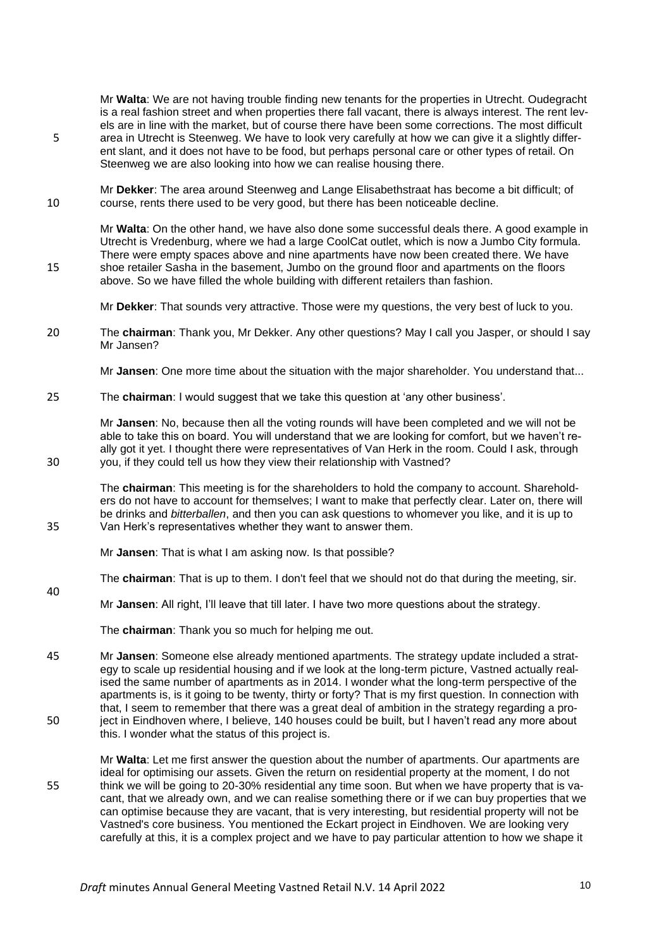Mr **Walta**: We are not having trouble finding new tenants for the properties in Utrecht. Oudegracht is a real fashion street and when properties there fall vacant, there is always interest. The rent levels are in line with the market, but of course there have been some corrections. The most difficult 5 area in Utrecht is Steenweg. We have to look very carefully at how we can give it a slightly different slant, and it does not have to be food, but perhaps personal care or other types of retail. On Steenweg we are also looking into how we can realise housing there.

Mr **Dekker**: The area around Steenweg and Lange Elisabethstraat has become a bit difficult; of 10 course, rents there used to be very good, but there has been noticeable decline.

Mr **Walta**: On the other hand, we have also done some successful deals there. A good example in Utrecht is Vredenburg, where we had a large CoolCat outlet, which is now a Jumbo City formula. There were empty spaces above and nine apartments have now been created there. We have 15 shoe retailer Sasha in the basement, Jumbo on the ground floor and apartments on the floors above. So we have filled the whole building with different retailers than fashion.

Mr **Dekker**: That sounds very attractive. Those were my questions, the very best of luck to you.

20 The **chairman**: Thank you, Mr Dekker. Any other questions? May I call you Jasper, or should I say Mr Jansen?

Mr **Jansen**: One more time about the situation with the major shareholder. You understand that...

25 The **chairman**: I would suggest that we take this question at 'any other business'.

Mr **Jansen**: No, because then all the voting rounds will have been completed and we will not be able to take this on board. You will understand that we are looking for comfort, but we haven't really got it yet. I thought there were representatives of Van Herk in the room. Could I ask, through 30 you, if they could tell us how they view their relationship with Vastned?

The **chairman**: This meeting is for the shareholders to hold the company to account. Shareholders do not have to account for themselves; I want to make that perfectly clear. Later on, there will be drinks and *bitterballen*, and then you can ask questions to whomever you like, and it is up to 35 Van Herk's representatives whether they want to answer them.

Mr **Jansen**: That is what I am asking now. Is that possible?

- The **chairman**: That is up to them. I don't feel that we should not do that during the meeting, sir. 40
	- Mr **Jansen**: All right, I'll leave that till later. I have two more questions about the strategy.

The **chairman**: Thank you so much for helping me out.

- 45 Mr **Jansen**: Someone else already mentioned apartments. The strategy update included a strategy to scale up residential housing and if we look at the long-term picture, Vastned actually realised the same number of apartments as in 2014. I wonder what the long-term perspective of the apartments is, is it going to be twenty, thirty or forty? That is my first question. In connection with that, I seem to remember that there was a great deal of ambition in the strategy regarding a pro-50 ject in Eindhoven where, I believe, 140 houses could be built, but I haven't read any more about this. I wonder what the status of this project is.
- Mr **Walta**: Let me first answer the question about the number of apartments. Our apartments are ideal for optimising our assets. Given the return on residential property at the moment, I do not 55 think we will be going to 20-30% residential any time soon. But when we have property that is vacant, that we already own, and we can realise something there or if we can buy properties that we can optimise because they are vacant, that is very interesting, but residential property will not be Vastned's core business. You mentioned the Eckart project in Eindhoven. We are looking very carefully at this, it is a complex project and we have to pay particular attention to how we shape it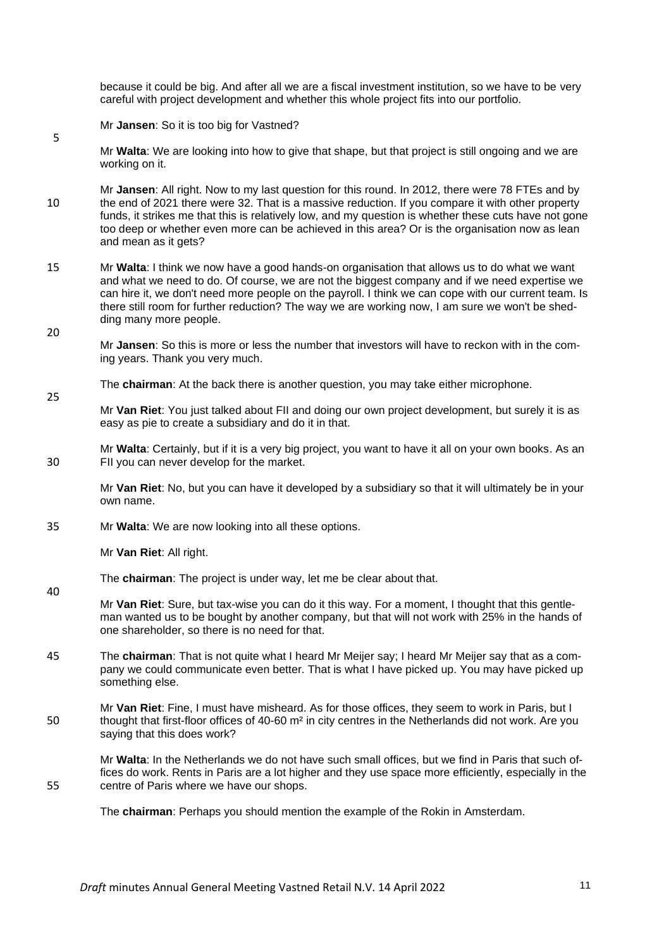because it could be big. And after all we are a fiscal investment institution, so we have to be very careful with project development and whether this whole project fits into our portfolio.

Mr **Jansen**: So it is too big for Vastned?

5

20

25

40

Mr **Walta**: We are looking into how to give that shape, but that project is still ongoing and we are working on it.

Mr **Jansen**: All right. Now to my last question for this round. In 2012, there were 78 FTEs and by 10 the end of 2021 there were 32. That is a massive reduction. If you compare it with other property funds, it strikes me that this is relatively low, and my question is whether these cuts have not gone too deep or whether even more can be achieved in this area? Or is the organisation now as lean and mean as it gets?

- 15 Mr **Walta**: I think we now have a good hands-on organisation that allows us to do what we want and what we need to do. Of course, we are not the biggest company and if we need expertise we can hire it, we don't need more people on the payroll. I think we can cope with our current team. Is there still room for further reduction? The way we are working now, I am sure we won't be shedding many more people.
	- Mr **Jansen**: So this is more or less the number that investors will have to reckon with in the coming years. Thank you very much.
	- The **chairman**: At the back there is another question, you may take either microphone.
	- Mr **Van Riet**: You just talked about FII and doing our own project development, but surely it is as easy as pie to create a subsidiary and do it in that.

Mr **Walta**: Certainly, but if it is a very big project, you want to have it all on your own books. As an 30 FII you can never develop for the market.

Mr **Van Riet**: No, but you can have it developed by a subsidiary so that it will ultimately be in your own name.

35 Mr **Walta**: We are now looking into all these options.

Mr **Van Riet**: All right.

The **chairman**: The project is under way, let me be clear about that.

Mr **Van Riet**: Sure, but tax-wise you can do it this way. For a moment, I thought that this gentleman wanted us to be bought by another company, but that will not work with 25% in the hands of one shareholder, so there is no need for that.

45 The **chairman**: That is not quite what I heard Mr Meijer say; I heard Mr Meijer say that as a company we could communicate even better. That is what I have picked up. You may have picked up something else.

Mr **Van Riet**: Fine, I must have misheard. As for those offices, they seem to work in Paris, but I 50 thought that first-floor offices of 40-60 m<sup>2</sup> in city centres in the Netherlands did not work. Are you saying that this does work?

Mr **Walta**: In the Netherlands we do not have such small offices, but we find in Paris that such offices do work. Rents in Paris are a lot higher and they use space more efficiently, especially in the 55 centre of Paris where we have our shops.

The **chairman**: Perhaps you should mention the example of the Rokin in Amsterdam.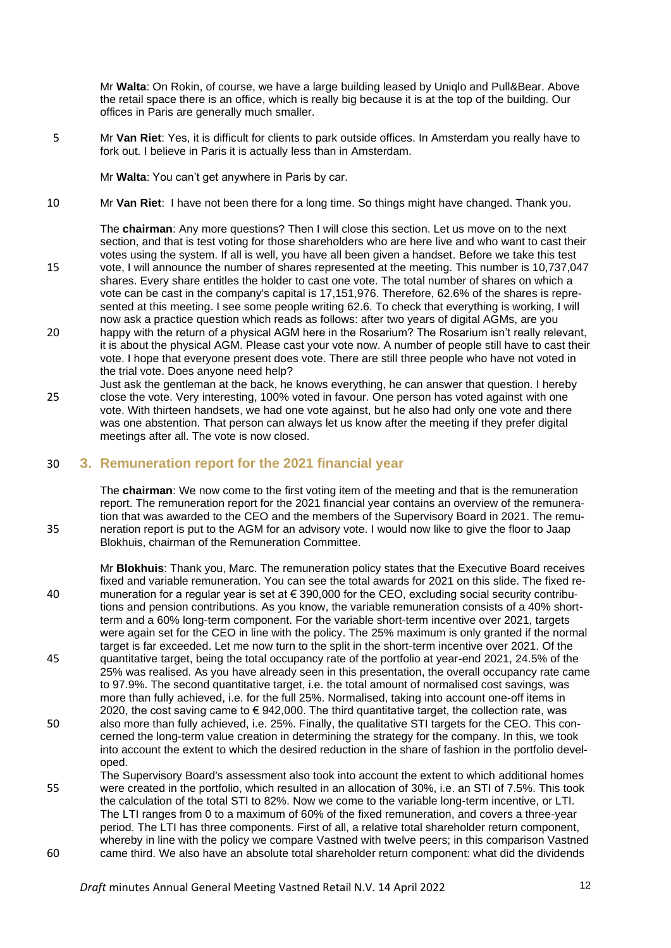Mr **Walta**: On Rokin, of course, we have a large building leased by Uniqlo and Pull&Bear. Above the retail space there is an office, which is really big because it is at the top of the building. Our offices in Paris are generally much smaller.

5 Mr **Van Riet**: Yes, it is difficult for clients to park outside offices. In Amsterdam you really have to fork out. I believe in Paris it is actually less than in Amsterdam.

Mr **Walta**: You can't get anywhere in Paris by car.

10 Mr **Van Riet**: I have not been there for a long time. So things might have changed. Thank you.

The **chairman**: Any more questions? Then I will close this section. Let us move on to the next section, and that is test voting for those shareholders who are here live and who want to cast their votes using the system. If all is well, you have all been given a handset. Before we take this test

- 15 vote, I will announce the number of shares represented at the meeting. This number is 10,737,047 shares. Every share entitles the holder to cast one vote. The total number of shares on which a vote can be cast in the company's capital is 17,151,976. Therefore, 62.6% of the shares is represented at this meeting. I see some people writing 62.6. To check that everything is working, I will now ask a practice question which reads as follows: after two years of digital AGMs, are you
- 20 happy with the return of a physical AGM here in the Rosarium? The Rosarium isn't really relevant, it is about the physical AGM. Please cast your vote now. A number of people still have to cast their vote. I hope that everyone present does vote. There are still three people who have not voted in the trial vote. Does anyone need help?
- Just ask the gentleman at the back, he knows everything, he can answer that question. I hereby 25 close the vote. Very interesting, 100% voted in favour. One person has voted against with one vote. With thirteen handsets, we had one vote against, but he also had only one vote and there was one abstention. That person can always let us know after the meeting if they prefer digital meetings after all. The vote is now closed.

#### 30 **3. Remuneration report for the 2021 financial year**

The **chairman**: We now come to the first voting item of the meeting and that is the remuneration report. The remuneration report for the 2021 financial year contains an overview of the remuneration that was awarded to the CEO and the members of the Supervisory Board in 2021. The remu-35 neration report is put to the AGM for an advisory vote. I would now like to give the floor to Jaap Blokhuis, chairman of the Remuneration Committee.

- Mr **Blokhuis**: Thank you, Marc. The remuneration policy states that the Executive Board receives fixed and variable remuneration. You can see the total awards for 2021 on this slide. The fixed re-40 muneration for a regular year is set at € 390,000 for the CEO, excluding social security contributions and pension contributions. As you know, the variable remuneration consists of a 40% shortterm and a 60% long-term component. For the variable short-term incentive over 2021, targets were again set for the CEO in line with the policy. The 25% maximum is only granted if the normal target is far exceeded. Let me now turn to the split in the short-term incentive over 2021. Of the 45 quantitative target, being the total occupancy rate of the portfolio at year-end 2021, 24.5% of the 25% was realised. As you have already seen in this presentation, the overall occupancy rate came to 97.9%. The second quantitative target, i.e. the total amount of normalised cost savings, was more than fully achieved, i.e. for the full 25%. Normalised, taking into account one-off items in 2020, the cost saving came to  $\epsilon$  942,000. The third quantitative target, the collection rate, was 50 also more than fully achieved, i.e. 25%. Finally, the qualitative STI targets for the CEO. This concerned the long-term value creation in determining the strategy for the company. In this, we took into account the extent to which the desired reduction in the share of fashion in the portfolio developed. The Supervisory Board's assessment also took into account the extent to which additional homes
- 55 were created in the portfolio, which resulted in an allocation of 30%, i.e. an STI of 7.5%. This took the calculation of the total STI to 82%. Now we come to the variable long-term incentive, or LTI. The LTI ranges from 0 to a maximum of 60% of the fixed remuneration, and covers a three-year period. The LTI has three components. First of all, a relative total shareholder return component, whereby in line with the policy we compare Vastned with twelve peers; in this comparison Vastned 60 came third. We also have an absolute total shareholder return component: what did the dividends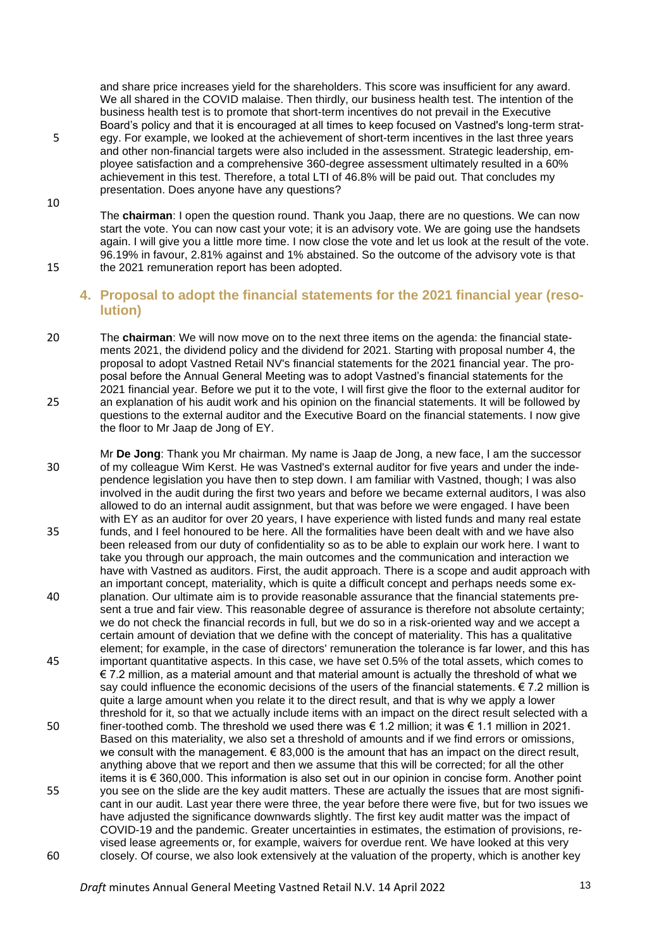and share price increases yield for the shareholders. This score was insufficient for any award. We all shared in the COVID malaise. Then thirdly, our business health test. The intention of the business health test is to promote that short-term incentives do not prevail in the Executive Board's policy and that it is encouraged at all times to keep focused on Vastned's long-term strat-

- 5 egy. For example, we looked at the achievement of short-term incentives in the last three years and other non-financial targets were also included in the assessment. Strategic leadership, employee satisfaction and a comprehensive 360-degree assessment ultimately resulted in a 60% achievement in this test. Therefore, a total LTI of 46.8% will be paid out. That concludes my presentation. Does anyone have any questions?
- 10 The **chairman**: I open the question round. Thank you Jaap, there are no questions. We can now start the vote. You can now cast your vote; it is an advisory vote. We are going use the handsets again. I will give you a little more time. I now close the vote and let us look at the result of the vote. 96.19% in favour, 2.81% against and 1% abstained. So the outcome of the advisory vote is that 15 the 2021 remuneration report has been adopted.

### **4. Proposal to adopt the financial statements for the 2021 financial year (resolution)**

- 20 The **chairman**: We will now move on to the next three items on the agenda: the financial statements 2021, the dividend policy and the dividend for 2021. Starting with proposal number 4, the proposal to adopt Vastned Retail NV's financial statements for the 2021 financial year. The proposal before the Annual General Meeting was to adopt Vastned's financial statements for the 2021 financial year. Before we put it to the vote, I will first give the floor to the external auditor for 25 an explanation of his audit work and his opinion on the financial statements. It will be followed by questions to the external auditor and the Executive Board on the financial statements. I now give the floor to Mr Jaap de Jong of EY.
- Mr **De Jong**: Thank you Mr chairman. My name is Jaap de Jong, a new face, I am the successor 30 of my colleague Wim Kerst. He was Vastned's external auditor for five years and under the independence legislation you have then to step down. I am familiar with Vastned, though; I was also involved in the audit during the first two years and before we became external auditors, I was also allowed to do an internal audit assignment, but that was before we were engaged. I have been with EY as an auditor for over 20 years, I have experience with listed funds and many real estate 35 funds, and I feel honoured to be here. All the formalities have been dealt with and we have also been released from our duty of confidentiality so as to be able to explain our work here. I want to take you through our approach, the main outcomes and the communication and interaction we have with Vastned as auditors. First, the audit approach. There is a scope and audit approach with an important concept, materiality, which is quite a difficult concept and perhaps needs some ex-40 planation. Our ultimate aim is to provide reasonable assurance that the financial statements present a true and fair view. This reasonable degree of assurance is therefore not absolute certainty; we do not check the financial records in full, but we do so in a risk-oriented way and we accept a certain amount of deviation that we define with the concept of materiality. This has a qualitative element; for example, in the case of directors' remuneration the tolerance is far lower, and this has 45 important quantitative aspects. In this case, we have set 0.5% of the total assets, which comes to € 7.2 million, as a material amount and that material amount is actually the threshold of what we say could influence the economic decisions of the users of the financial statements.  $\epsilon$  7.2 million is quite a large amount when you relate it to the direct result, and that is why we apply a lower threshold for it, so that we actually include items with an impact on the direct result selected with a 50 finer-toothed comb. The threshold we used there was € 1.2 million; it was € 1.1 million in 2021. Based on this materiality, we also set a threshold of amounts and if we find errors or omissions, we consult with the management.  $\epsilon$  83,000 is the amount that has an impact on the direct result. anything above that we report and then we assume that this will be corrected; for all the other items it is € 360,000. This information is also set out in our opinion in concise form. Another point 55 you see on the slide are the key audit matters. These are actually the issues that are most significant in our audit. Last year there were three, the year before there were five, but for two issues we have adjusted the significance downwards slightly. The first key audit matter was the impact of COVID-19 and the pandemic. Greater uncertainties in estimates, the estimation of provisions, revised lease agreements or, for example, waivers for overdue rent. We have looked at this very 60 closely. Of course, we also look extensively at the valuation of the property, which is another key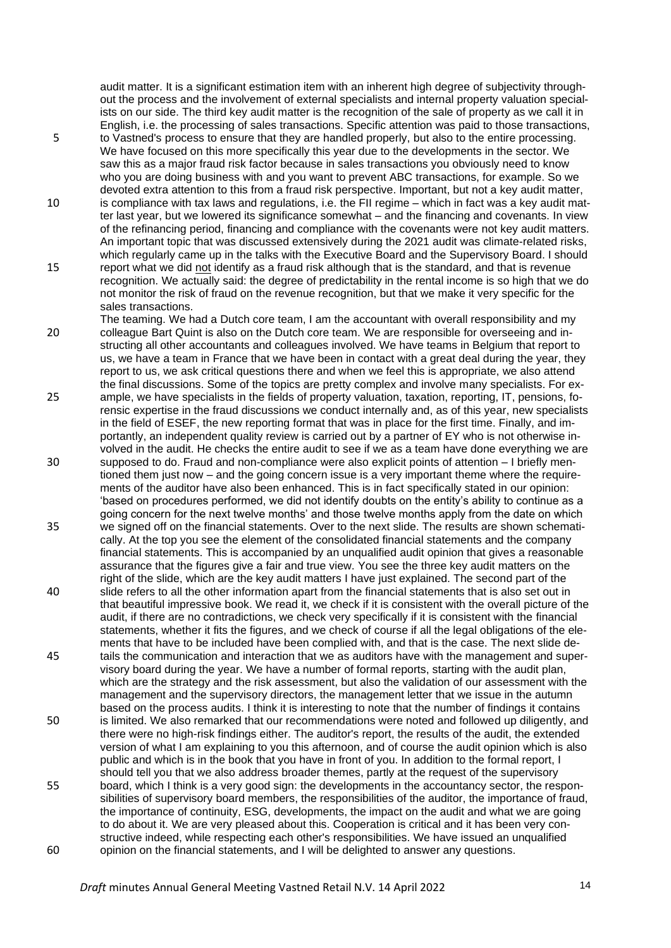audit matter. It is a significant estimation item with an inherent high degree of subjectivity throughout the process and the involvement of external specialists and internal property valuation specialists on our side. The third key audit matter is the recognition of the sale of property as we call it in English, i.e. the processing of sales transactions. Specific attention was paid to those transactions,

- 5 to Vastned's process to ensure that they are handled properly, but also to the entire processing. We have focused on this more specifically this year due to the developments in the sector. We saw this as a major fraud risk factor because in sales transactions you obviously need to know who you are doing business with and you want to prevent ABC transactions, for example. So we devoted extra attention to this from a fraud risk perspective. Important, but not a key audit matter,
- 10 is compliance with tax laws and regulations, i.e. the FII regime which in fact was a key audit matter last year, but we lowered its significance somewhat – and the financing and covenants. In view of the refinancing period, financing and compliance with the covenants were not key audit matters. An important topic that was discussed extensively during the 2021 audit was climate-related risks, which regularly came up in the talks with the Executive Board and the Supervisory Board. I should
- 15 report what we did not identify as a fraud risk although that is the standard, and that is revenue recognition. We actually said: the degree of predictability in the rental income is so high that we do not monitor the risk of fraud on the revenue recognition, but that we make it very specific for the sales transactions.
- The teaming. We had a Dutch core team, I am the accountant with overall responsibility and my 20 colleague Bart Quint is also on the Dutch core team. We are responsible for overseeing and instructing all other accountants and colleagues involved. We have teams in Belgium that report to us, we have a team in France that we have been in contact with a great deal during the year, they report to us, we ask critical questions there and when we feel this is appropriate, we also attend the final discussions. Some of the topics are pretty complex and involve many specialists. For ex-
- 25 ample, we have specialists in the fields of property valuation, taxation, reporting, IT, pensions, forensic expertise in the fraud discussions we conduct internally and, as of this year, new specialists in the field of ESEF, the new reporting format that was in place for the first time. Finally, and importantly, an independent quality review is carried out by a partner of EY who is not otherwise involved in the audit. He checks the entire audit to see if we as a team have done everything we are
- 30 supposed to do. Fraud and non-compliance were also explicit points of attention I briefly mentioned them just now – and the going concern issue is a very important theme where the requirements of the auditor have also been enhanced. This is in fact specifically stated in our opinion: 'based on procedures performed, we did not identify doubts on the entity's ability to continue as a going concern for the next twelve months' and those twelve months apply from the date on which
- 35 we signed off on the financial statements. Over to the next slide. The results are shown schematically. At the top you see the element of the consolidated financial statements and the company financial statements. This is accompanied by an unqualified audit opinion that gives a reasonable assurance that the figures give a fair and true view. You see the three key audit matters on the right of the slide, which are the key audit matters I have just explained. The second part of the 40 slide refers to all the other information apart from the financial statements that is also set out in that beautiful impressive book. We read it, we check if it is consistent with the overall picture of the
- audit, if there are no contradictions, we check very specifically if it is consistent with the financial statements, whether it fits the figures, and we check of course if all the legal obligations of the elements that have to be included have been complied with, and that is the case. The next slide de-45 tails the communication and interaction that we as auditors have with the management and super-
- visory board during the year. We have a number of formal reports, starting with the audit plan, which are the strategy and the risk assessment, but also the validation of our assessment with the management and the supervisory directors, the management letter that we issue in the autumn based on the process audits. I think it is interesting to note that the number of findings it contains 50 is limited. We also remarked that our recommendations were noted and followed up diligently, and
- there were no high-risk findings either. The auditor's report, the results of the audit, the extended version of what I am explaining to you this afternoon, and of course the audit opinion which is also public and which is in the book that you have in front of you. In addition to the formal report, I should tell you that we also address broader themes, partly at the request of the supervisory 55 board, which I think is a very good sign: the developments in the accountancy sector, the respon-
- sibilities of supervisory board members, the responsibilities of the auditor, the importance of fraud, the importance of continuity, ESG, developments, the impact on the audit and what we are going to do about it. We are very pleased about this. Cooperation is critical and it has been very constructive indeed, while respecting each other's responsibilities. We have issued an unqualified 60 opinion on the financial statements, and I will be delighted to answer any questions.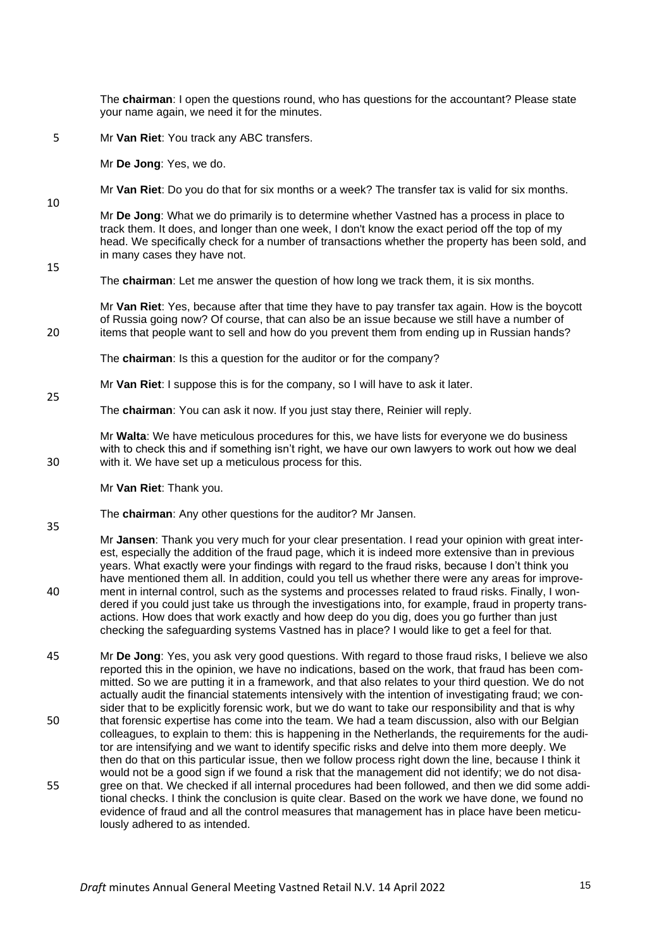The **chairman**: I open the questions round, who has questions for the accountant? Please state your name again, we need it for the minutes.

5 Mr **Van Riet**: You track any ABC transfers.

Mr **De Jong**: Yes, we do.

Mr **Van Riet**: Do you do that for six months or a week? The transfer tax is valid for six months.

Mr **De Jong**: What we do primarily is to determine whether Vastned has a process in place to track them. It does, and longer than one week, I don't know the exact period off the top of my head. We specifically check for a number of transactions whether the property has been sold, and in many cases they have not.

15

25

35

10

The **chairman**: Let me answer the question of how long we track them, it is six months.

Mr **Van Riet**: Yes, because after that time they have to pay transfer tax again. How is the boycott of Russia going now? Of course, that can also be an issue because we still have a number of 20 items that people want to sell and how do you prevent them from ending up in Russian hands?

The **chairman**: Is this a question for the auditor or for the company?

- Mr **Van Riet**: I suppose this is for the company, so I will have to ask it later.
- The **chairman**: You can ask it now. If you just stay there, Reinier will reply.

Mr **Walta**: We have meticulous procedures for this, we have lists for everyone we do business with to check this and if something isn't right, we have our own lawyers to work out how we deal 30 with it. We have set up a meticulous process for this.

Mr **Van Riet**: Thank you.

- The **chairman**: Any other questions for the auditor? Mr Jansen.
- Mr **Jansen**: Thank you very much for your clear presentation. I read your opinion with great interest, especially the addition of the fraud page, which it is indeed more extensive than in previous years. What exactly were your findings with regard to the fraud risks, because I don't think you have mentioned them all. In addition, could you tell us whether there were any areas for improve-40 ment in internal control, such as the systems and processes related to fraud risks. Finally, I wondered if you could just take us through the investigations into, for example, fraud in property transactions. How does that work exactly and how deep do you dig, does you go further than just checking the safeguarding systems Vastned has in place? I would like to get a feel for that.

45 Mr **De Jong**: Yes, you ask very good questions. With regard to those fraud risks, I believe we also reported this in the opinion, we have no indications, based on the work, that fraud has been committed. So we are putting it in a framework, and that also relates to your third question. We do not actually audit the financial statements intensively with the intention of investigating fraud; we consider that to be explicitly forensic work, but we do want to take our responsibility and that is why 50 that forensic expertise has come into the team. We had a team discussion, also with our Belgian colleagues, to explain to them: this is happening in the Netherlands, the requirements for the auditor are intensifying and we want to identify specific risks and delve into them more deeply. We then do that on this particular issue, then we follow process right down the line, because I think it would not be a good sign if we found a risk that the management did not identify; we do not disa-55 gree on that. We checked if all internal procedures had been followed, and then we did some additional checks. I think the conclusion is quite clear. Based on the work we have done, we found no evidence of fraud and all the control measures that management has in place have been meticulously adhered to as intended.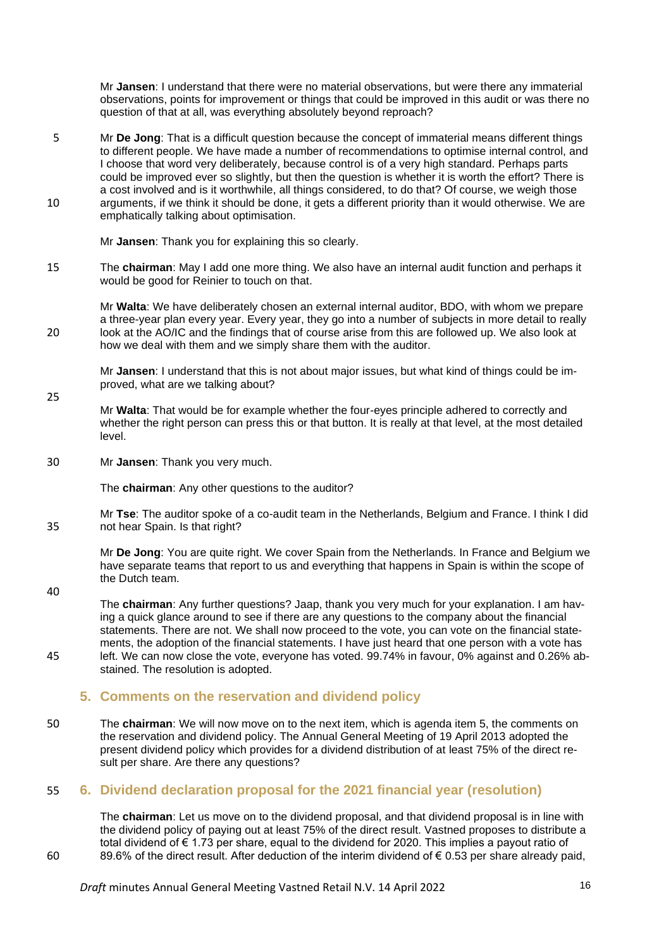Mr **Jansen**: I understand that there were no material observations, but were there any immaterial observations, points for improvement or things that could be improved in this audit or was there no question of that at all, was everything absolutely beyond reproach?

5 Mr **De Jong**: That is a difficult question because the concept of immaterial means different things to different people. We have made a number of recommendations to optimise internal control, and I choose that word very deliberately, because control is of a very high standard. Perhaps parts could be improved ever so slightly, but then the question is whether it is worth the effort? There is a cost involved and is it worthwhile, all things considered, to do that? Of course, we weigh those 10 arguments, if we think it should be done, it gets a different priority than it would otherwise. We are emphatically talking about optimisation.

Mr **Jansen**: Thank you for explaining this so clearly.

15 The **chairman**: May I add one more thing. We also have an internal audit function and perhaps it would be good for Reinier to touch on that.

Mr **Walta**: We have deliberately chosen an external internal auditor, BDO, with whom we prepare a three-year plan every year. Every year, they go into a number of subjects in more detail to really 20 look at the AO/IC and the findings that of course arise from this are followed up. We also look at how we deal with them and we simply share them with the auditor.

Mr **Jansen**: I understand that this is not about major issues, but what kind of things could be improved, what are we talking about?

- 25 Mr **Walta**: That would be for example whether the four-eyes principle adhered to correctly and whether the right person can press this or that button. It is really at that level, at the most detailed level.
- 30 Mr **Jansen**: Thank you very much.

The **chairman**: Any other questions to the auditor?

Mr **Tse**: The auditor spoke of a co-audit team in the Netherlands, Belgium and France. I think I did 35 not hear Spain. Is that right?

Mr **De Jong**: You are quite right. We cover Spain from the Netherlands. In France and Belgium we have separate teams that report to us and everything that happens in Spain is within the scope of the Dutch team.

40

The **chairman**: Any further questions? Jaap, thank you very much for your explanation. I am having a quick glance around to see if there are any questions to the company about the financial statements. There are not. We shall now proceed to the vote, you can vote on the financial statements, the adoption of the financial statements. I have just heard that one person with a vote has 45 left. We can now close the vote, everyone has voted. 99.74% in favour, 0% against and 0.26% ab-

stained. The resolution is adopted.

### **5. Comments on the reservation and dividend policy**

50 The **chairman**: We will now move on to the next item, which is agenda item 5, the comments on the reservation and dividend policy. The Annual General Meeting of 19 April 2013 adopted the present dividend policy which provides for a dividend distribution of at least 75% of the direct result per share. Are there any questions?

### 55 **6. Dividend declaration proposal for the 2021 financial year (resolution)**

The **chairman**: Let us move on to the dividend proposal, and that dividend proposal is in line with the dividend policy of paying out at least 75% of the direct result. Vastned proposes to distribute a total dividend of € 1.73 per share, equal to the dividend for 2020. This implies a payout ratio of 60 89.6% of the direct result. After deduction of the interim dividend of € 0.53 per share already paid,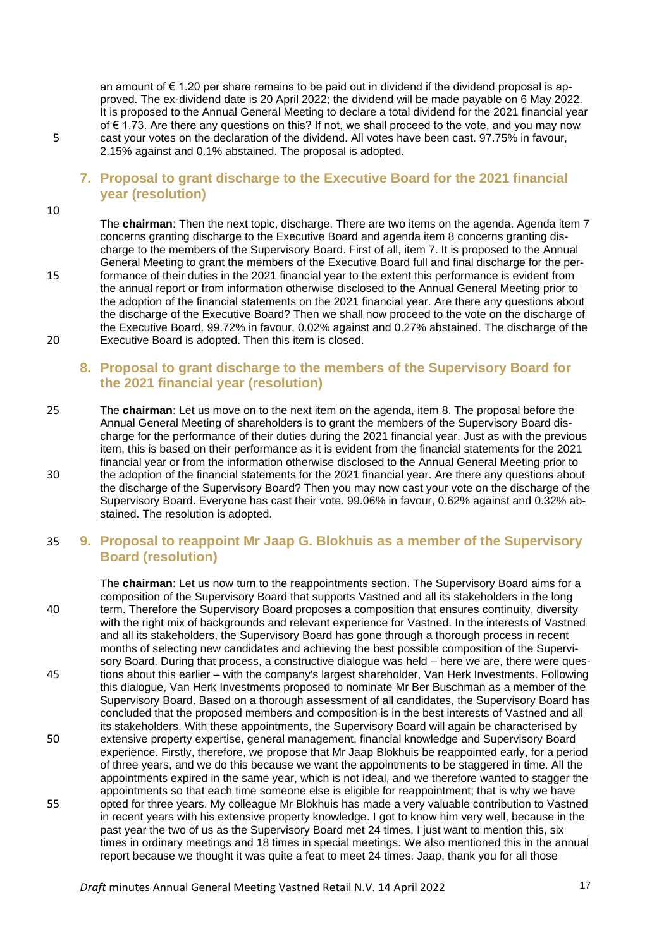an amount of € 1.20 per share remains to be paid out in dividend if the dividend proposal is approved. The ex-dividend date is 20 April 2022; the dividend will be made payable on 6 May 2022. It is proposed to the Annual General Meeting to declare a total dividend for the 2021 financial year of € 1.73. Are there any questions on this? If not, we shall proceed to the vote, and you may now 5 cast your votes on the declaration of the dividend. All votes have been cast. 97.75% in favour, 2.15% against and 0.1% abstained. The proposal is adopted.

# **7. Proposal to grant discharge to the Executive Board for the 2021 financial year (resolution)**

10

The **chairman**: Then the next topic, discharge. There are two items on the agenda. Agenda item 7 concerns granting discharge to the Executive Board and agenda item 8 concerns granting discharge to the members of the Supervisory Board. First of all, item 7. It is proposed to the Annual General Meeting to grant the members of the Executive Board full and final discharge for the per-15 formance of their duties in the 2021 financial year to the extent this performance is evident from the annual report or from information otherwise disclosed to the Annual General Meeting prior to the adoption of the financial statements on the 2021 financial year. Are there any questions about the discharge of the Executive Board? Then we shall now proceed to the vote on the discharge of the Executive Board. 99.72% in favour, 0.02% against and 0.27% abstained. The discharge of the 20 Executive Board is adopted. Then this item is closed.

# **8. Proposal to grant discharge to the members of the Supervisory Board for the 2021 financial year (resolution)**

25 The **chairman**: Let us move on to the next item on the agenda, item 8. The proposal before the Annual General Meeting of shareholders is to grant the members of the Supervisory Board discharge for the performance of their duties during the 2021 financial year. Just as with the previous item, this is based on their performance as it is evident from the financial statements for the 2021 financial year or from the information otherwise disclosed to the Annual General Meeting prior to 30 the adoption of the financial statements for the 2021 financial year. Are there any questions about the discharge of the Supervisory Board? Then you may now cast your vote on the discharge of the Supervisory Board. Everyone has cast their vote. 99.06% in favour, 0.62% against and 0.32% abstained. The resolution is adopted.

# 35 **9. Proposal to reappoint Mr Jaap G. Blokhuis as a member of the Supervisory Board (resolution)**

The **chairman**: Let us now turn to the reappointments section. The Supervisory Board aims for a composition of the Supervisory Board that supports Vastned and all its stakeholders in the long 40 term. Therefore the Supervisory Board proposes a composition that ensures continuity, diversity with the right mix of backgrounds and relevant experience for Vastned. In the interests of Vastned and all its stakeholders, the Supervisory Board has gone through a thorough process in recent months of selecting new candidates and achieving the best possible composition of the Supervisory Board. During that process, a constructive dialogue was held – here we are, there were ques-45 tions about this earlier – with the company's largest shareholder, Van Herk Investments. Following this dialogue, Van Herk Investments proposed to nominate Mr Ber Buschman as a member of the Supervisory Board. Based on a thorough assessment of all candidates, the Supervisory Board has concluded that the proposed members and composition is in the best interests of Vastned and all its stakeholders. With these appointments, the Supervisory Board will again be characterised by 50 extensive property expertise, general management, financial knowledge and Supervisory Board experience. Firstly, therefore, we propose that Mr Jaap Blokhuis be reappointed early, for a period of three years, and we do this because we want the appointments to be staggered in time. All the appointments expired in the same year, which is not ideal, and we therefore wanted to stagger the appointments so that each time someone else is eligible for reappointment; that is why we have 55 opted for three years. My colleague Mr Blokhuis has made a very valuable contribution to Vastned in recent years with his extensive property knowledge. I got to know him very well, because in the past year the two of us as the Supervisory Board met 24 times, I just want to mention this, six times in ordinary meetings and 18 times in special meetings. We also mentioned this in the annual report because we thought it was quite a feat to meet 24 times. Jaap, thank you for all those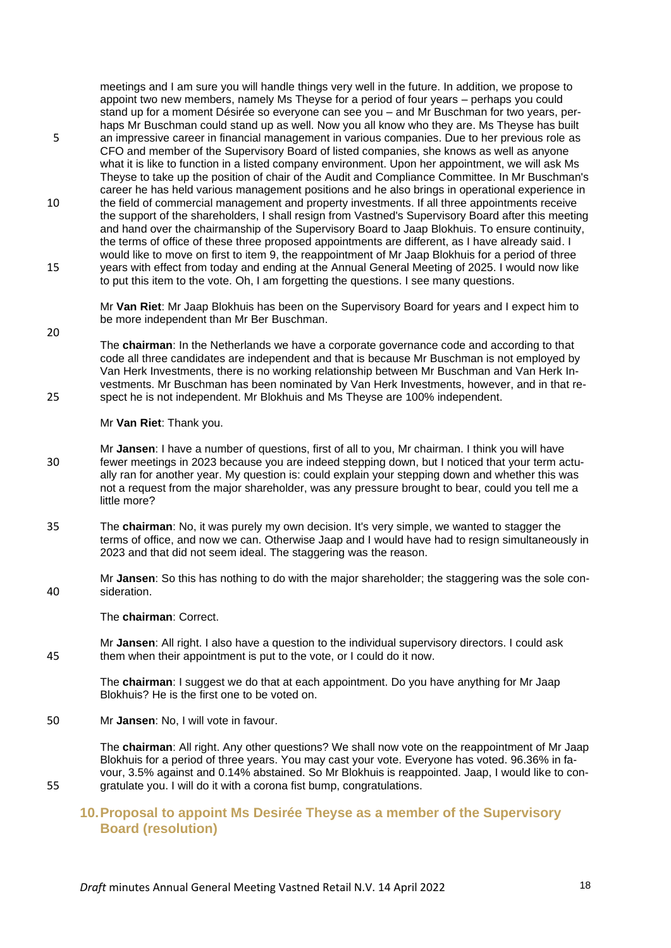meetings and I am sure you will handle things very well in the future. In addition, we propose to appoint two new members, namely Ms Theyse for a period of four years – perhaps you could stand up for a moment Désirée so everyone can see you – and Mr Buschman for two years, perhaps Mr Buschman could stand up as well. Now you all know who they are. Ms Theyse has built

- 5 an impressive career in financial management in various companies. Due to her previous role as CFO and member of the Supervisory Board of listed companies, she knows as well as anyone what it is like to function in a listed company environment. Upon her appointment, we will ask Ms Theyse to take up the position of chair of the Audit and Compliance Committee. In Mr Buschman's career he has held various management positions and he also brings in operational experience in
- 10 the field of commercial management and property investments. If all three appointments receive the support of the shareholders, I shall resign from Vastned's Supervisory Board after this meeting and hand over the chairmanship of the Supervisory Board to Jaap Blokhuis. To ensure continuity, the terms of office of these three proposed appointments are different, as I have already said. I would like to move on first to item 9, the reappointment of Mr Jaap Blokhuis for a period of three 15 years with effect from today and ending at the Annual General Meeting of 2025. I would now like

to put this item to the vote. Oh, I am forgetting the questions. I see many questions.

Mr **Van Riet**: Mr Jaap Blokhuis has been on the Supervisory Board for years and I expect him to be more independent than Mr Ber Buschman.

20

The **chairman**: In the Netherlands we have a corporate governance code and according to that code all three candidates are independent and that is because Mr Buschman is not employed by Van Herk Investments, there is no working relationship between Mr Buschman and Van Herk Investments. Mr Buschman has been nominated by Van Herk Investments, however, and in that re-25 spect he is not independent. Mr Blokhuis and Ms Theyse are 100% independent.

Mr **Van Riet**: Thank you.

- Mr **Jansen**: I have a number of questions, first of all to you, Mr chairman. I think you will have 30 fewer meetings in 2023 because you are indeed stepping down, but I noticed that your term actually ran for another year. My question is: could explain your stepping down and whether this was not a request from the major shareholder, was any pressure brought to bear, could you tell me a little more?
- 35 The **chairman**: No, it was purely my own decision. It's very simple, we wanted to stagger the terms of office, and now we can. Otherwise Jaap and I would have had to resign simultaneously in 2023 and that did not seem ideal. The staggering was the reason.

Mr **Jansen**: So this has nothing to do with the major shareholder; the staggering was the sole con-40 sideration.

The **chairman**: Correct.

Mr **Jansen**: All right. I also have a question to the individual supervisory directors. I could ask 45 them when their appointment is put to the vote, or I could do it now.

> The **chairman**: I suggest we do that at each appointment. Do you have anything for Mr Jaap Blokhuis? He is the first one to be voted on.

50 Mr **Jansen**: No, I will vote in favour.

The **chairman**: All right. Any other questions? We shall now vote on the reappointment of Mr Jaap Blokhuis for a period of three years. You may cast your vote. Everyone has voted. 96.36% in favour, 3.5% against and 0.14% abstained. So Mr Blokhuis is reappointed. Jaap, I would like to con-55 gratulate you. I will do it with a corona fist bump, congratulations.

# **10.Proposal to appoint Ms Desirée Theyse as a member of the Supervisory Board (resolution)**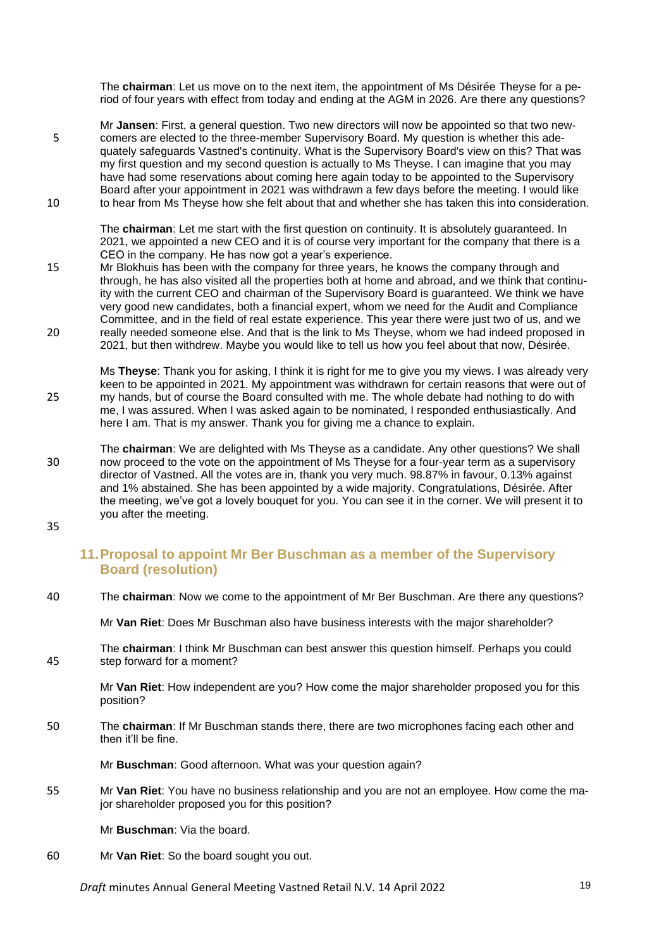The **chairman**: Let us move on to the next item, the appointment of Ms Désirée Theyse for a period of four years with effect from today and ending at the AGM in 2026. Are there any questions?

Mr **Jansen**: First, a general question. Two new directors will now be appointed so that two new-5 comers are elected to the three-member Supervisory Board. My question is whether this adequately safeguards Vastned's continuity. What is the Supervisory Board's view on this? That was my first question and my second question is actually to Ms Theyse. I can imagine that you may have had some reservations about coming here again today to be appointed to the Supervisory Board after your appointment in 2021 was withdrawn a few days before the meeting. I would like 10 to hear from Ms Theyse how she felt about that and whether she has taken this into consideration.

The **chairman**: Let me start with the first question on continuity. It is absolutely guaranteed. In 2021, we appointed a new CEO and it is of course very important for the company that there is a CEO in the company. He has now got a year's experience.

- 15 Mr Blokhuis has been with the company for three years, he knows the company through and through, he has also visited all the properties both at home and abroad, and we think that continuity with the current CEO and chairman of the Supervisory Board is guaranteed. We think we have very good new candidates, both a financial expert, whom we need for the Audit and Compliance Committee, and in the field of real estate experience. This year there were just two of us, and we 20 really needed someone else. And that is the link to Ms Theyse, whom we had indeed proposed in 2021, but then withdrew. Maybe you would like to tell us how you feel about that now, Désirée.
- Ms **Theyse**: Thank you for asking, I think it is right for me to give you my views. I was already very keen to be appointed in 2021. My appointment was withdrawn for certain reasons that were out of 25 my hands, but of course the Board consulted with me. The whole debate had nothing to do with me, I was assured. When I was asked again to be nominated, I responded enthusiastically. And here I am. That is my answer. Thank you for giving me a chance to explain.
- The **chairman**: We are delighted with Ms Theyse as a candidate. Any other questions? We shall 30 now proceed to the vote on the appointment of Ms Theyse for a four-year term as a supervisory director of Vastned. All the votes are in, thank you very much. 98.87% in favour, 0.13% against and 1% abstained. She has been appointed by a wide majority. Congratulations, Désirée. After the meeting, we've got a lovely bouquet for you. You can see it in the corner. We will present it to you after the meeting.
- 35

### **11.Proposal to appoint Mr Ber Buschman as a member of the Supervisory Board (resolution)**

40 The **chairman**: Now we come to the appointment of Mr Ber Buschman. Are there any questions?

Mr **Van Riet**: Does Mr Buschman also have business interests with the major shareholder?

The **chairman**: I think Mr Buschman can best answer this question himself. Perhaps you could 45 step forward for a moment?

> Mr **Van Riet**: How independent are you? How come the major shareholder proposed you for this position?

50 The **chairman**: If Mr Buschman stands there, there are two microphones facing each other and then it'll be fine.

Mr **Buschman**: Good afternoon. What was your question again?

55 Mr **Van Riet**: You have no business relationship and you are not an employee. How come the major shareholder proposed you for this position?

Mr **Buschman**: Via the board.

60 Mr **Van Riet**: So the board sought you out.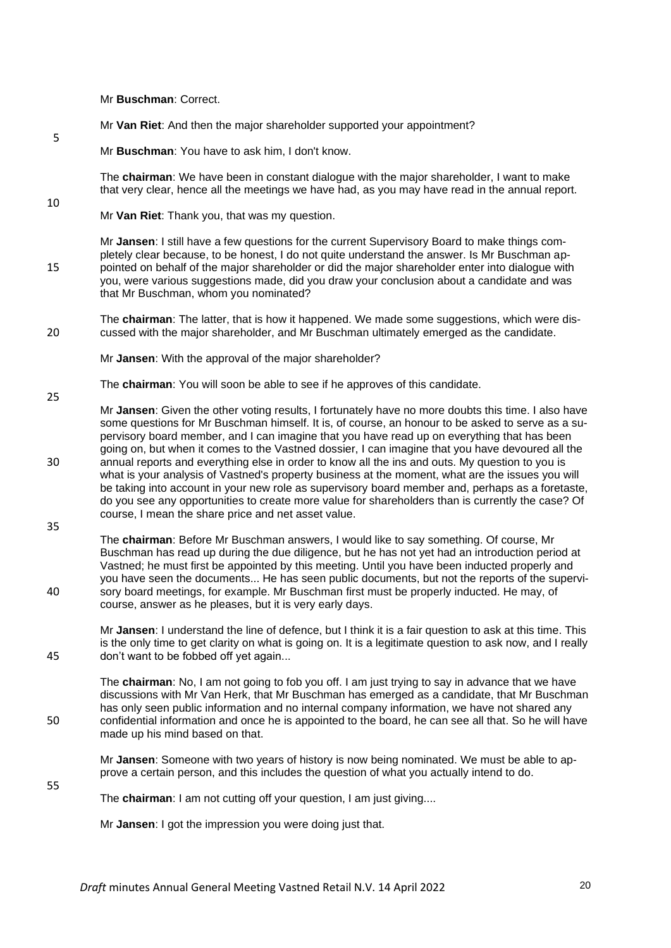Mr **Buschman**: Correct.

- Mr **Van Riet**: And then the major shareholder supported your appointment?
- Mr **Buschman**: You have to ask him, I don't know.

The **chairman**: We have been in constant dialogue with the major shareholder, I want to make that very clear, hence all the meetings we have had, as you may have read in the annual report.

Mr **Van Riet**: Thank you, that was my question.

Mr **Jansen**: I still have a few questions for the current Supervisory Board to make things completely clear because, to be honest, I do not quite understand the answer. Is Mr Buschman ap-15 pointed on behalf of the maior shareholder or did the major shareholder enter into dialogue with you, were various suggestions made, did you draw your conclusion about a candidate and was that Mr Buschman, whom you nominated?

The **chairman**: The latter, that is how it happened. We made some suggestions, which were dis-20 cussed with the major shareholder, and Mr Buschman ultimately emerged as the candidate.

Mr **Jansen**: With the approval of the major shareholder?

The **chairman**: You will soon be able to see if he approves of this candidate.

- Mr **Jansen**: Given the other voting results, I fortunately have no more doubts this time. I also have some questions for Mr Buschman himself. It is, of course, an honour to be asked to serve as a supervisory board member, and I can imagine that you have read up on everything that has been going on, but when it comes to the Vastned dossier, I can imagine that you have devoured all the 30 annual reports and everything else in order to know all the ins and outs. My question to you is what is your analysis of Vastned's property business at the moment, what are the issues you will be taking into account in your new role as supervisory board member and, perhaps as a foretaste, do you see any opportunities to create more value for shareholders than is currently the case? Of course, I mean the share price and net asset value.
- 35

55

25

5

10

The **chairman**: Before Mr Buschman answers, I would like to say something. Of course, Mr Buschman has read up during the due diligence, but he has not yet had an introduction period at Vastned; he must first be appointed by this meeting. Until you have been inducted properly and you have seen the documents... He has seen public documents, but not the reports of the supervi-40 sory board meetings, for example. Mr Buschman first must be properly inducted. He may, of course, answer as he pleases, but it is very early days.

Mr **Jansen**: I understand the line of defence, but I think it is a fair question to ask at this time. This is the only time to get clarity on what is going on. It is a legitimate question to ask now, and I really 45 don't want to be fobbed off yet again...

The **chairman**: No, I am not going to fob you off. I am just trying to say in advance that we have discussions with Mr Van Herk, that Mr Buschman has emerged as a candidate, that Mr Buschman has only seen public information and no internal company information, we have not shared any 50 confidential information and once he is appointed to the board, he can see all that. So he will have made up his mind based on that.

Mr **Jansen**: Someone with two years of history is now being nominated. We must be able to approve a certain person, and this includes the question of what you actually intend to do.

The **chairman**: I am not cutting off your question, I am just giving....

Mr **Jansen**: I got the impression you were doing just that.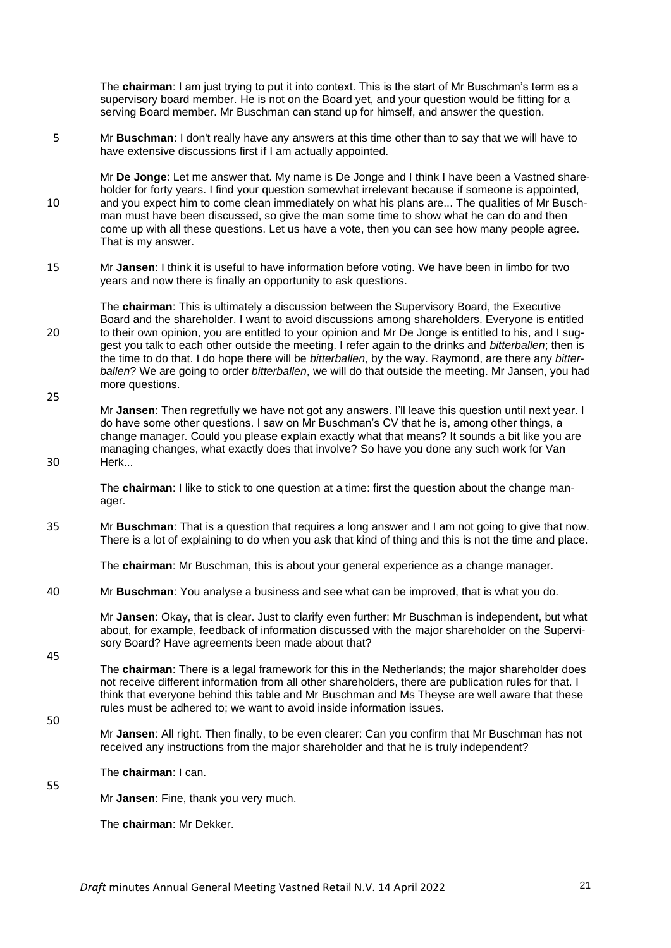The **chairman**: I am just trying to put it into context. This is the start of Mr Buschman's term as a supervisory board member. He is not on the Board yet, and your question would be fitting for a serving Board member. Mr Buschman can stand up for himself, and answer the question.

5 Mr **Buschman**: I don't really have any answers at this time other than to say that we will have to have extensive discussions first if I am actually appointed.

Mr **De Jonge**: Let me answer that. My name is De Jonge and I think I have been a Vastned shareholder for forty years. I find your question somewhat irrelevant because if someone is appointed. 10 and you expect him to come clean immediately on what his plans are... The qualities of Mr Buschman must have been discussed, so give the man some time to show what he can do and then come up with all these questions. Let us have a vote, then you can see how many people agree. That is my answer.

15 Mr **Jansen**: I think it is useful to have information before voting. We have been in limbo for two years and now there is finally an opportunity to ask questions.

The **chairman**: This is ultimately a discussion between the Supervisory Board, the Executive Board and the shareholder. I want to avoid discussions among shareholders. Everyone is entitled 20 to their own opinion, you are entitled to your opinion and Mr De Jonge is entitled to his, and I suggest you talk to each other outside the meeting. I refer again to the drinks and *bitterballen*; then is the time to do that. I do hope there will be *bitterballen*, by the way. Raymond, are there any *bitterballen*? We are going to order *bitterballen*, we will do that outside the meeting. Mr Jansen, you had more questions. 25

Mr **Jansen**: Then regretfully we have not got any answers. I'll leave this question until next year. I do have some other questions. I saw on Mr Buschman's CV that he is, among other things, a change manager. Could you please explain exactly what that means? It sounds a bit like you are managing changes, what exactly does that involve? So have you done any such work for Van 30 Herk...

The **chairman**: I like to stick to one question at a time: first the question about the change manager.

35 Mr **Buschman**: That is a question that requires a long answer and I am not going to give that now. There is a lot of explaining to do when you ask that kind of thing and this is not the time and place.

The **chairman**: Mr Buschman, this is about your general experience as a change manager.

40 Mr **Buschman**: You analyse a business and see what can be improved, that is what you do.

Mr **Jansen**: Okay, that is clear. Just to clarify even further: Mr Buschman is independent, but what about, for example, feedback of information discussed with the major shareholder on the Supervisory Board? Have agreements been made about that?

The **chairman**: There is a legal framework for this in the Netherlands; the major shareholder does not receive different information from all other shareholders, there are publication rules for that. I think that everyone behind this table and Mr Buschman and Ms Theyse are well aware that these rules must be adhered to; we want to avoid inside information issues.

50

55

45

Mr **Jansen**: All right. Then finally, to be even clearer: Can you confirm that Mr Buschman has not received any instructions from the major shareholder and that he is truly independent?

The **chairman**: I can.

Mr **Jansen**: Fine, thank you very much.

The **chairman**: Mr Dekker.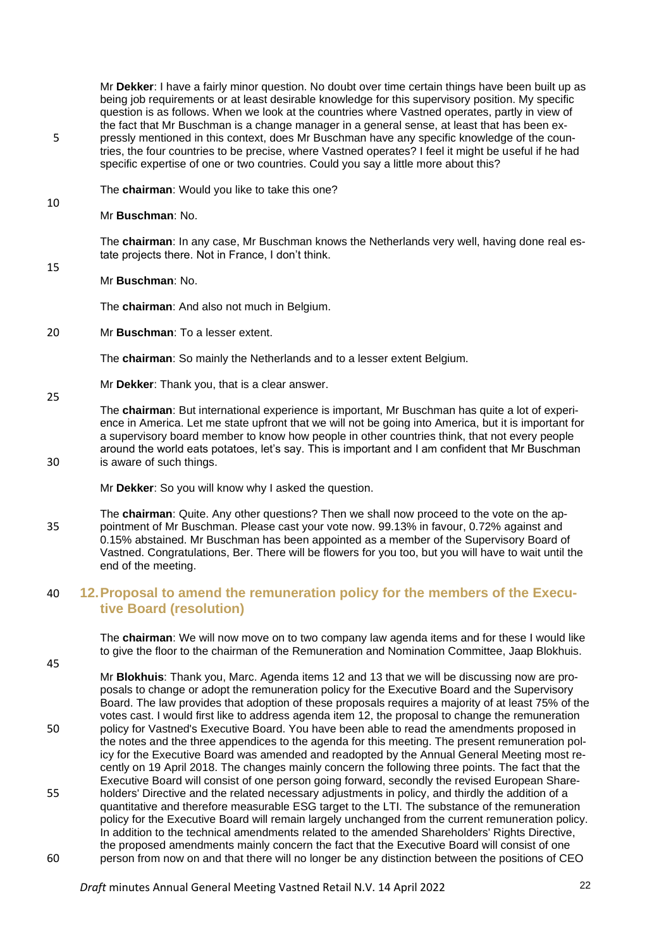Mr **Dekker**: I have a fairly minor question. No doubt over time certain things have been built up as being job requirements or at least desirable knowledge for this supervisory position. My specific question is as follows. When we look at the countries where Vastned operates, partly in view of the fact that Mr Buschman is a change manager in a general sense, at least that has been ex-5 pressly mentioned in this context, does Mr Buschman have any specific knowledge of the countries, the four countries to be precise, where Vastned operates? I feel it might be useful if he had specific expertise of one or two countries. Could you say a little more about this?

The **chairman**: Would you like to take this one?

#### Mr **Buschman**: No.

10

15

25

The **chairman**: In any case, Mr Buschman knows the Netherlands very well, having done real estate projects there. Not in France, I don't think.

#### Mr **Buschman**: No.

The **chairman**: And also not much in Belgium.

20 Mr **Buschman**: To a lesser extent.

The **chairman**: So mainly the Netherlands and to a lesser extent Belgium.

Mr **Dekker**: Thank you, that is a clear answer.

The **chairman**: But international experience is important, Mr Buschman has quite a lot of experience in America. Let me state upfront that we will not be going into America, but it is important for a supervisory board member to know how people in other countries think, that not every people around the world eats potatoes, let's say. This is important and I am confident that Mr Buschman 30 is aware of such things.

Mr **Dekker**: So you will know why I asked the question.

The **chairman**: Quite. Any other questions? Then we shall now proceed to the vote on the ap-35 pointment of Mr Buschman. Please cast your vote now. 99.13% in favour, 0.72% against and 0.15% abstained. Mr Buschman has been appointed as a member of the Supervisory Board of Vastned. Congratulations, Ber. There will be flowers for you too, but you will have to wait until the end of the meeting.

### 40 **12.Proposal to amend the remuneration policy for the members of the Executive Board (resolution)**

The **chairman**: We will now move on to two company law agenda items and for these I would like to give the floor to the chairman of the Remuneration and Nomination Committee, Jaap Blokhuis.

45

Mr **Blokhuis**: Thank you, Marc. Agenda items 12 and 13 that we will be discussing now are proposals to change or adopt the remuneration policy for the Executive Board and the Supervisory Board. The law provides that adoption of these proposals requires a majority of at least 75% of the votes cast. I would first like to address agenda item 12, the proposal to change the remuneration 50 policy for Vastned's Executive Board. You have been able to read the amendments proposed in the notes and the three appendices to the agenda for this meeting. The present remuneration policy for the Executive Board was amended and readopted by the Annual General Meeting most recently on 19 April 2018. The changes mainly concern the following three points. The fact that the Executive Board will consist of one person going forward, secondly the revised European Share-55 holders' Directive and the related necessary adjustments in policy, and thirdly the addition of a quantitative and therefore measurable ESG target to the LTI. The substance of the remuneration policy for the Executive Board will remain largely unchanged from the current remuneration policy. In addition to the technical amendments related to the amended Shareholders' Rights Directive, the proposed amendments mainly concern the fact that the Executive Board will consist of one 60 person from now on and that there will no longer be any distinction between the positions of CEO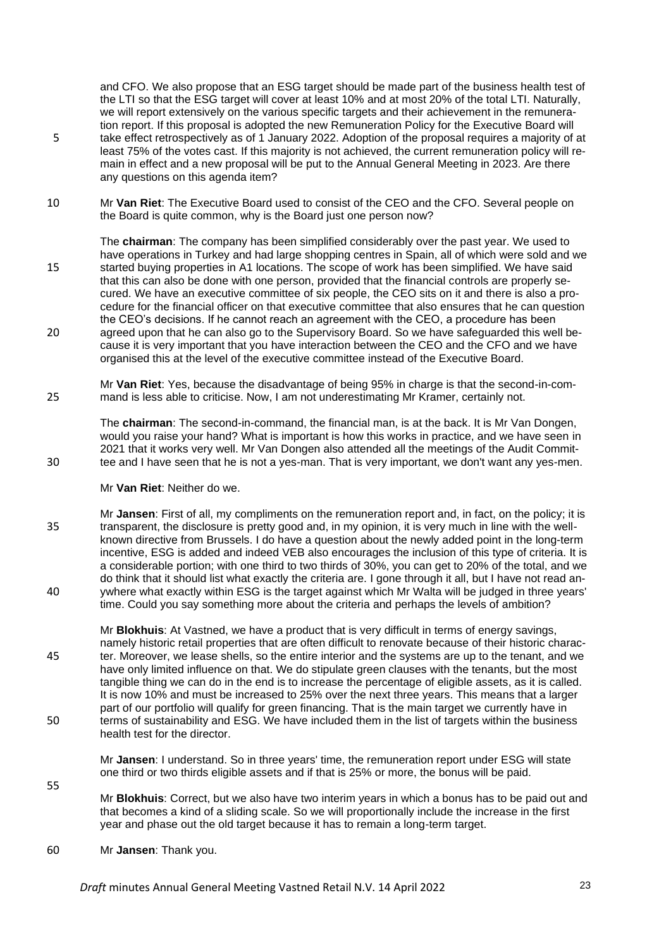and CFO. We also propose that an ESG target should be made part of the business health test of the LTI so that the ESG target will cover at least 10% and at most 20% of the total LTI. Naturally, we will report extensively on the various specific targets and their achievement in the remuneration report. If this proposal is adopted the new Remuneration Policy for the Executive Board will 5 take effect retrospectively as of 1 January 2022. Adoption of the proposal requires a majority of at least 75% of the votes cast. If this majority is not achieved, the current remuneration policy will remain in effect and a new proposal will be put to the Annual General Meeting in 2023. Are there any questions on this agenda item?

10 Mr **Van Riet**: The Executive Board used to consist of the CEO and the CFO. Several people on the Board is quite common, why is the Board just one person now?

The **chairman**: The company has been simplified considerably over the past year. We used to have operations in Turkey and had large shopping centres in Spain, all of which were sold and we 15 started buying properties in A1 locations. The scope of work has been simplified. We have said that this can also be done with one person, provided that the financial controls are properly secured. We have an executive committee of six people, the CEO sits on it and there is also a procedure for the financial officer on that executive committee that also ensures that he can question the CEO's decisions. If he cannot reach an agreement with the CEO, a procedure has been 20 agreed upon that he can also go to the Supervisory Board. So we have safeguarded this well because it is very important that you have interaction between the CEO and the CFO and we have organised this at the level of the executive committee instead of the Executive Board.

Mr **Van Riet**: Yes, because the disadvantage of being 95% in charge is that the second-in-com-25 mand is less able to criticise. Now, I am not underestimating Mr Kramer, certainly not.

The **chairman**: The second-in-command, the financial man, is at the back. It is Mr Van Dongen, would you raise your hand? What is important is how this works in practice, and we have seen in 2021 that it works very well. Mr Van Dongen also attended all the meetings of the Audit Commit-30 tee and I have seen that he is not a yes-man. That is very important, we don't want any yes-men.

#### Mr **Van Riet**: Neither do we.

Mr **Jansen**: First of all, my compliments on the remuneration report and, in fact, on the policy; it is 35 transparent, the disclosure is pretty good and, in my opinion, it is very much in line with the wellknown directive from Brussels. I do have a question about the newly added point in the long-term incentive, ESG is added and indeed VEB also encourages the inclusion of this type of criteria. It is a considerable portion; with one third to two thirds of 30%, you can get to 20% of the total, and we do think that it should list what exactly the criteria are. I gone through it all, but I have not read an-40 ywhere what exactly within ESG is the target against which Mr Walta will be judged in three years' time. Could you say something more about the criteria and perhaps the levels of ambition?

Mr **Blokhuis**: At Vastned, we have a product that is very difficult in terms of energy savings, namely historic retail properties that are often difficult to renovate because of their historic charac-45 ter. Moreover, we lease shells, so the entire interior and the systems are up to the tenant, and we have only limited influence on that. We do stipulate green clauses with the tenants, but the most tangible thing we can do in the end is to increase the percentage of eligible assets, as it is called. It is now 10% and must be increased to 25% over the next three years. This means that a larger part of our portfolio will qualify for green financing. That is the main target we currently have in 50 terms of sustainability and ESG. We have included them in the list of targets within the business health test for the director.

Mr **Jansen**: I understand. So in three years' time, the remuneration report under ESG will state one third or two thirds eligible assets and if that is 25% or more, the bonus will be paid.

Mr **Blokhuis**: Correct, but we also have two interim years in which a bonus has to be paid out and that becomes a kind of a sliding scale. So we will proportionally include the increase in the first year and phase out the old target because it has to remain a long-term target.

60 Mr **Jansen**: Thank you.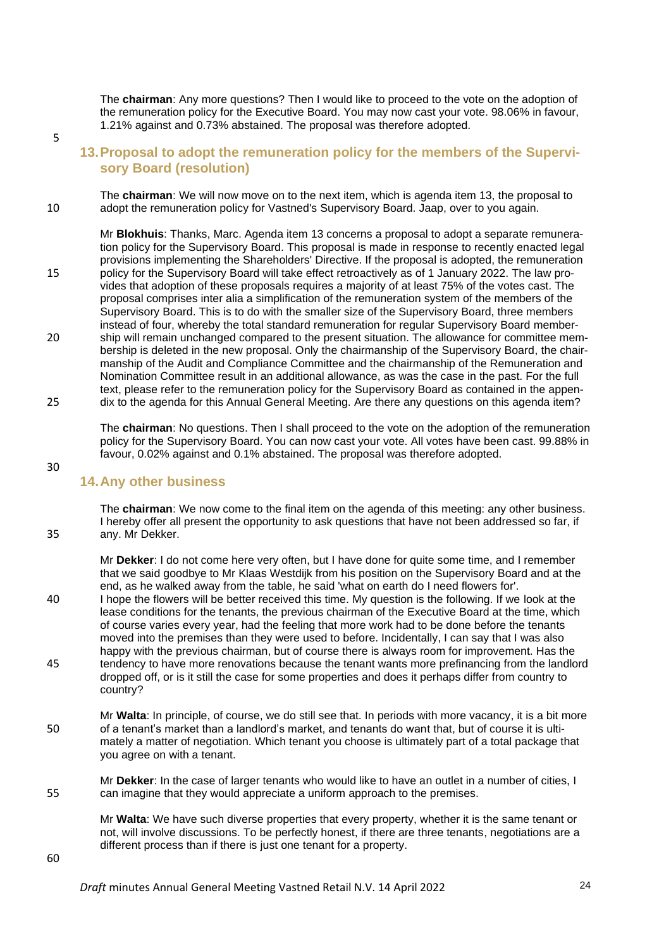The **chairman**: Any more questions? Then I would like to proceed to the vote on the adoption of the remuneration policy for the Executive Board. You may now cast your vote. 98.06% in favour, 1.21% against and 0.73% abstained. The proposal was therefore adopted.

5

### **13.Proposal to adopt the remuneration policy for the members of the Supervisory Board (resolution)**

The **chairman**: We will now move on to the next item, which is agenda item 13, the proposal to 10 adopt the remuneration policy for Vastned's Supervisory Board. Jaap, over to you again.

Mr **Blokhuis**: Thanks, Marc. Agenda item 13 concerns a proposal to adopt a separate remuneration policy for the Supervisory Board. This proposal is made in response to recently enacted legal provisions implementing the Shareholders' Directive. If the proposal is adopted, the remuneration 15 policy for the Supervisory Board will take effect retroactively as of 1 January 2022. The law provides that adoption of these proposals requires a majority of at least 75% of the votes cast. The proposal comprises inter alia a simplification of the remuneration system of the members of the Supervisory Board. This is to do with the smaller size of the Supervisory Board, three members instead of four, whereby the total standard remuneration for regular Supervisory Board member-20 ship will remain unchanged compared to the present situation. The allowance for committee membership is deleted in the new proposal. Only the chairmanship of the Supervisory Board, the chairmanship of the Audit and Compliance Committee and the chairmanship of the Remuneration and Nomination Committee result in an additional allowance, as was the case in the past. For the full text, please refer to the remuneration policy for the Supervisory Board as contained in the appen-25 dix to the agenda for this Annual General Meeting. Are there any questions on this agenda item?

The **chairman**: No questions. Then I shall proceed to the vote on the adoption of the remuneration policy for the Supervisory Board. You can now cast your vote. All votes have been cast. 99.88% in favour, 0.02% against and 0.1% abstained. The proposal was therefore adopted.

#### 30

#### **14.Any other business**

The **chairman**: We now come to the final item on the agenda of this meeting: any other business. I hereby offer all present the opportunity to ask questions that have not been addressed so far, if 35 any. Mr Dekker.

Mr **Dekker**: I do not come here very often, but I have done for quite some time, and I remember that we said goodbye to Mr Klaas Westdijk from his position on the Supervisory Board and at the end, as he walked away from the table, he said 'what on earth do I need flowers for'. 40 I hope the flowers will be better received this time. My question is the following. If we look at the lease conditions for the tenants, the previous chairman of the Executive Board at the time, which of course varies every year, had the feeling that more work had to be done before the tenants moved into the premises than they were used to before. Incidentally, I can say that I was also happy with the previous chairman, but of course there is always room for improvement. Has the 45 tendency to have more renovations because the tenant wants more prefinancing from the landlord

dropped off, or is it still the case for some properties and does it perhaps differ from country to country?

Mr **Walta**: In principle, of course, we do still see that. In periods with more vacancy, it is a bit more 50 of a tenant's market than a landlord's market, and tenants do want that, but of course it is ultimately a matter of negotiation. Which tenant you choose is ultimately part of a total package that you agree on with a tenant.

Mr **Dekker**: In the case of larger tenants who would like to have an outlet in a number of cities, I 55 can imagine that they would appreciate a uniform approach to the premises.

Mr **Walta**: We have such diverse properties that every property, whether it is the same tenant or not, will involve discussions. To be perfectly honest, if there are three tenants, negotiations are a different process than if there is just one tenant for a property.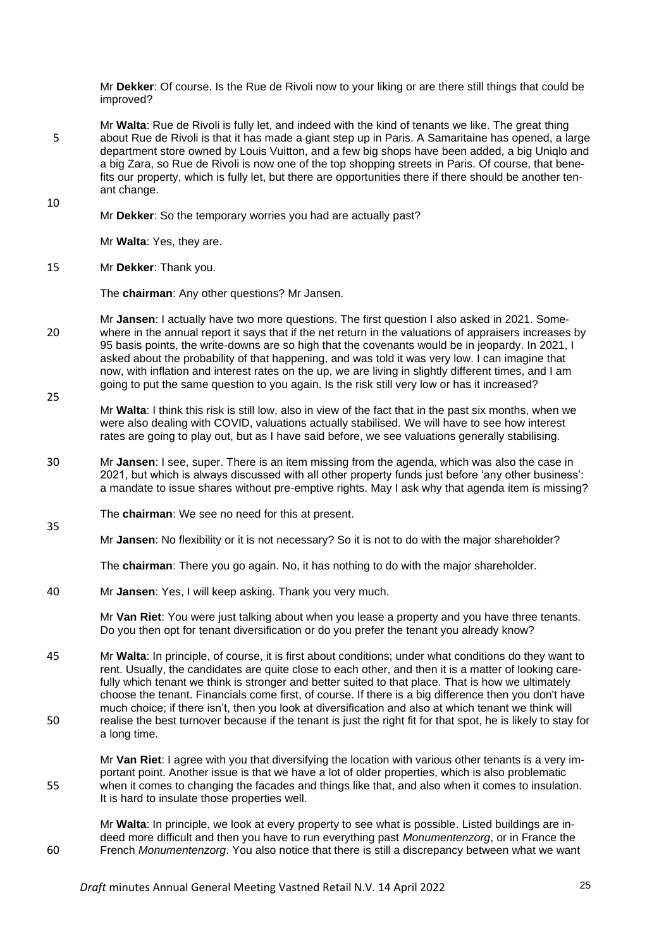Mr **Dekker**: Of course. Is the Rue de Rivoli now to your liking or are there still things that could be improved?

Mr **Walta**: Rue de Rivoli is fully let, and indeed with the kind of tenants we like. The great thing 5 about Rue de Rivoli is that it has made a giant step up in Paris. A Samaritaine has opened, a large department store owned by Louis Vuitton, and a few big shops have been added, a big Uniqlo and a big Zara, so Rue de Rivoli is now one of the top shopping streets in Paris. Of course, that benefits our property, which is fully let, but there are opportunities there if there should be another tenant change. 10

Mr **Dekker**: So the temporary worries you had are actually past?

Mr **Walta**: Yes, they are.

#### 15 Mr **Dekker**: Thank you.

35

The **chairman**: Any other questions? Mr Jansen.

- Mr **Jansen**: I actually have two more questions. The first question I also asked in 2021. Some-20 where in the annual report it says that if the net return in the valuations of appraisers increases by 95 basis points, the write-downs are so high that the covenants would be in jeopardy. In 2021, I asked about the probability of that happening, and was told it was very low. I can imagine that now, with inflation and interest rates on the up, we are living in slightly different times, and I am going to put the same question to you again. Is the risk still very low or has it increased? 25
- Mr **Walta**: I think this risk is still low, also in view of the fact that in the past six months, when we were also dealing with COVID, valuations actually stabilised. We will have to see how interest rates are going to play out, but as I have said before, we see valuations generally stabilising.
- 30 Mr **Jansen**: I see, super. There is an item missing from the agenda, which was also the case in 2021, but which is always discussed with all other property funds just before 'any other business': a mandate to issue shares without pre-emptive rights. May I ask why that agenda item is missing?
- The **chairman**: We see no need for this at present.

Mr **Jansen**: No flexibility or it is not necessary? So it is not to do with the major shareholder?

The **chairman**: There you go again. No, it has nothing to do with the major shareholder.

40 Mr **Jansen**: Yes, I will keep asking. Thank you very much.

Mr **Van Riet**: You were just talking about when you lease a property and you have three tenants. Do you then opt for tenant diversification or do you prefer the tenant you already know?

45 Mr **Walta**: In principle, of course, it is first about conditions; under what conditions do they want to rent. Usually, the candidates are quite close to each other, and then it is a matter of looking carefully which tenant we think is stronger and better suited to that place. That is how we ultimately choose the tenant. Financials come first, of course. If there is a big difference then you don't have much choice; if there isn't, then you look at diversification and also at which tenant we think will 50 realise the best turnover because if the tenant is just the right fit for that spot, he is likely to stay for a long time.

Mr **Van Riet**: I agree with you that diversifying the location with various other tenants is a very important point. Another issue is that we have a lot of older properties, which is also problematic 55 when it comes to changing the facades and things like that, and also when it comes to insulation. It is hard to insulate those properties well.

Mr **Walta**: In principle, we look at every property to see what is possible. Listed buildings are indeed more difficult and then you have to run everything past *Monumentenzorg*, or in France the 60 French *Monumentenzorg*. You also notice that there is still a discrepancy between what we want